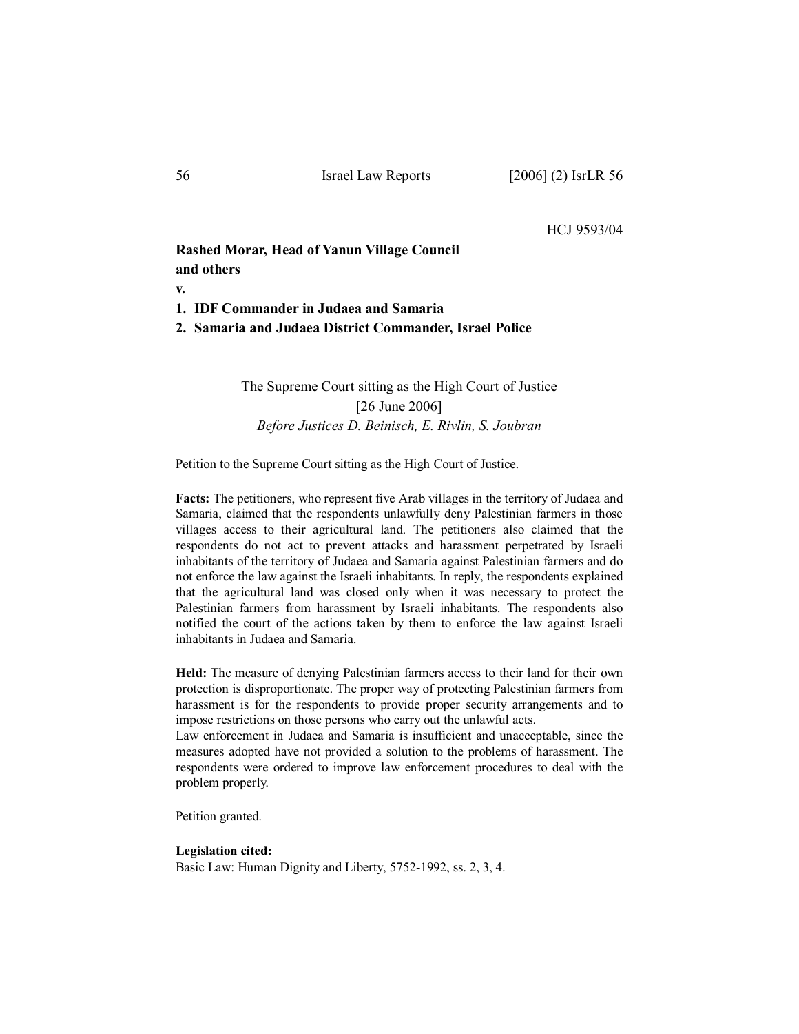### HCJ 9593/04

# **Rashed Morar, Head of Yanun Village Council and others**

**v.** 

- **1. IDF Commander in Judaea and Samaria**
- **2. Samaria and Judaea District Commander, Israel Police**

The Supreme Court sitting as the High Court of Justice [26 June 2006] *Before Justices D. Beinisch, E. Rivlin, S. Joubran* 

Petition to the Supreme Court sitting as the High Court of Justice.

**Facts:** The petitioners, who represent five Arab villages in the territory of Judaea and Samaria, claimed that the respondents unlawfully deny Palestinian farmers in those villages access to their agricultural land. The petitioners also claimed that the respondents do not act to prevent attacks and harassment perpetrated by Israeli inhabitants of the territory of Judaea and Samaria against Palestinian farmers and do not enforce the law against the Israeli inhabitants. In reply, the respondents explained that the agricultural land was closed only when it was necessary to protect the Palestinian farmers from harassment by Israeli inhabitants. The respondents also notified the court of the actions taken by them to enforce the law against Israeli inhabitants in Judaea and Samaria.

**Held:** The measure of denying Palestinian farmers access to their land for their own protection is disproportionate. The proper way of protecting Palestinian farmers from harassment is for the respondents to provide proper security arrangements and to impose restrictions on those persons who carry out the unlawful acts.

Law enforcement in Judaea and Samaria is insufficient and unacceptable, since the measures adopted have not provided a solution to the problems of harassment. The respondents were ordered to improve law enforcement procedures to deal with the problem properly.

Petition granted.

#### **Legislation cited:**

Basic Law: Human Dignity and Liberty, 5752-1992, ss. 2, 3, 4.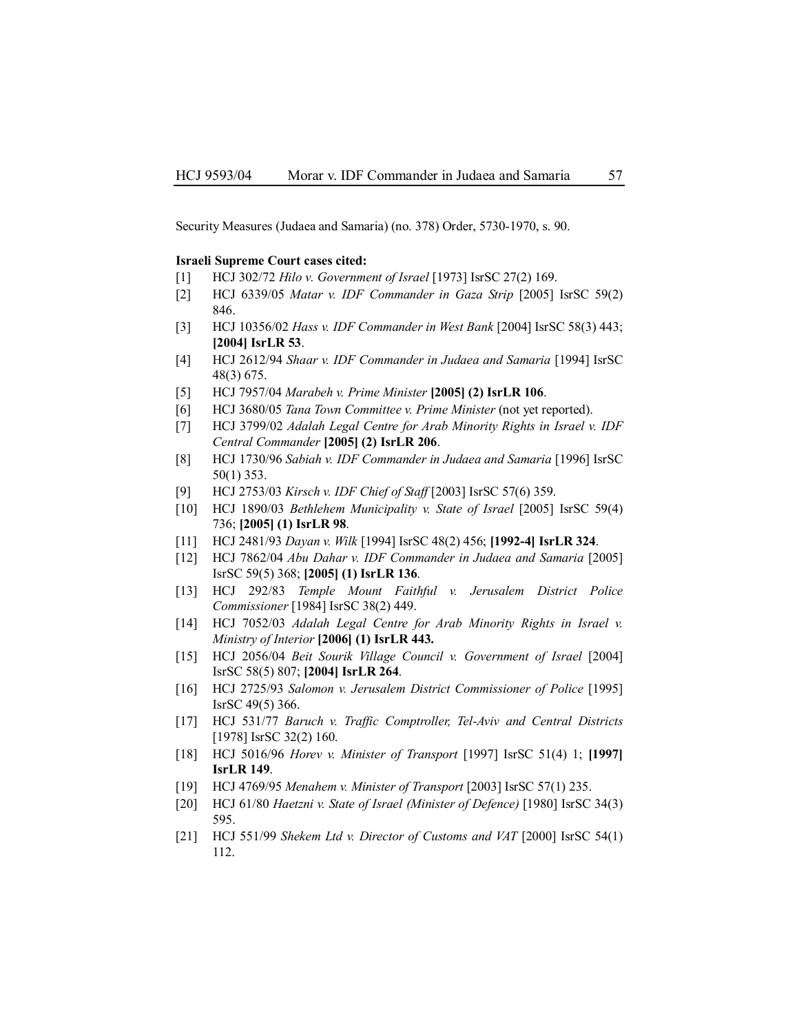Security Measures (Judaea and Samaria) (no. 378) Order, 5730-1970, s. 90.

#### **Israeli Supreme Court cases cited:**

- [1] HCJ 302/72 *Hilo v. Government of Israel* [1973] IsrSC 27(2) 169.
- [2] HCJ 6339/05 *Matar v. IDF Commander in Gaza Strip* [2005] IsrSC 59(2) 846.
- [3] HCJ 10356/02 *Hass v. IDF Commander in West Bank* [2004] IsrSC 58(3) 443; **[2004] IsrLR 53**.
- [4] HCJ 2612/94 *Shaar v. IDF Commander in Judaea and Samaria* [1994] IsrSC 48(3) 675.
- [5] HCJ 7957/04 *Marabeh v. Prime Minister* **[2005] (2) IsrLR 106**.
- [6] HCJ 3680/05 *Tana Town Committee v. Prime Minister* (not yet reported).
- [7] HCJ 3799/02 *Adalah Legal Centre for Arab Minority Rights in Israel v. IDF Central Commander* **[2005] (2) IsrLR 206**.
- [8] HCJ 1730/96 *Sabiah v. IDF Commander in Judaea and Samaria* [1996] IsrSC 50(1) 353.
- [9] HCJ 2753/03 *Kirsch v. IDF Chief of Staff* [2003] IsrSC 57(6) 359.
- [10] HCJ 1890/03 *Bethlehem Municipality v. State of Israel* [2005] IsrSC 59(4) 736; **[2005] (1) IsrLR 98**.
- [11] HCJ 2481/93 *Dayan v. Wilk* [1994] IsrSC 48(2) 456; **[1992-4] IsrLR 324**.
- [12] HCJ 7862/04 *Abu Dahar v. IDF Commander in Judaea and Samaria* [2005] IsrSC 59(5) 368; **[2005] (1) IsrLR 136**.
- [13] HCJ 292/83 *Temple Mount Faithful v. Jerusalem District Police Commissioner* [1984] IsrSC 38(2) 449.
- [14] HCJ 7052/03 Adalah Legal Centre for Arab Minority Rights in Israel v. *Ministry of Interior* **[2006] (1) IsrLR 443.**
- [15] HCJ 2056/04 *Beit Sourik Village Council v. Government of Israel* [2004] IsrSC 58(5) 807; **[2004] IsrLR 264**.
- [16] HCJ 2725/93 *Salomon v. Jerusalem District Commissioner of Police* [1995] IsrSC 49(5) 366.
- [17] HCJ 531/77 *Baruch v. Traffic Comptroller, Tel-Aviv and Central Districts* [1978] IsrSC 32(2) 160.
- [18] HCJ 5016/96 *Horev v. Minister of Transport* [1997] IsrSC 51(4) 1; **[1997] IsrLR 149**.
- [19] HCJ 4769/95 *Menahem v. Minister of Transport* [2003] IsrSC 57(1) 235.
- [20] HCJ 61/80 *Haetzni v. State of Israel (Minister of Defence)* [1980] IsrSC 34(3) 595.
- [21] HCJ 551/99 *Shekem Ltd v. Director of Customs and VAT* [2000] IsrSC 54(1) 112.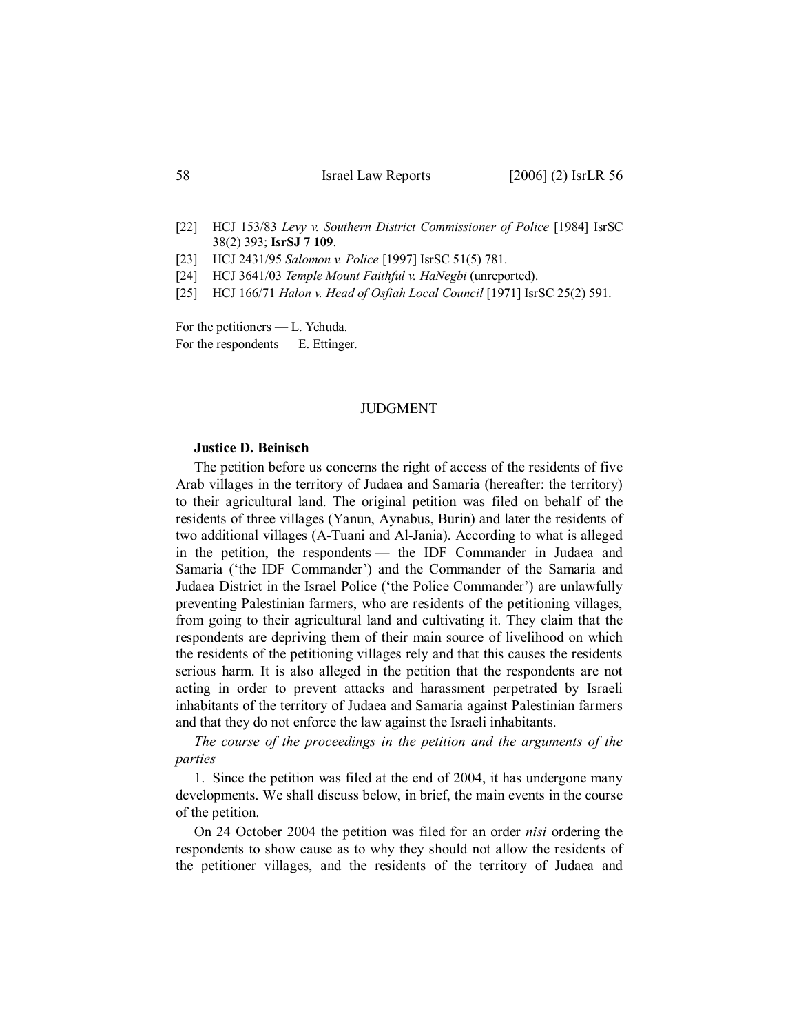[22] HCJ 153/83 *Levy v. Southern District Commissioner of Police* [1984] IsrSC 38(2) 393; **IsrSJ 7 109**.

[23] HCJ 2431/95 *Salomon v. Police* [1997] IsrSC 51(5) 781.

[24] HCJ 3641/03 *Temple Mount Faithful v. HaNegbi* (unreported).

[25] HCJ 166/71 *Halon v. Head of Osfiah Local Council* [1971] IsrSC 25(2) 591.

For the petitioners — L. Yehuda. For the respondents — E. Ettinger.

### JUDGMENT

#### **Justice D. Beinisch**

The petition before us concerns the right of access of the residents of five Arab villages in the territory of Judaea and Samaria (hereafter: the territory) to their agricultural land. The original petition was filed on behalf of the residents of three villages (Yanun, Aynabus, Burin) and later the residents of two additional villages (A-Tuani and Al-Jania). According to what is alleged in the petition, the respondents — the IDF Commander in Judaea and Samaria ('the IDF Commander') and the Commander of the Samaria and Judaea District in the Israel Police ('the Police Commander') are unlawfully preventing Palestinian farmers, who are residents of the petitioning villages, from going to their agricultural land and cultivating it. They claim that the respondents are depriving them of their main source of livelihood on which the residents of the petitioning villages rely and that this causes the residents serious harm. It is also alleged in the petition that the respondents are not acting in order to prevent attacks and harassment perpetrated by Israeli inhabitants of the territory of Judaea and Samaria against Palestinian farmers and that they do not enforce the law against the Israeli inhabitants.

*The course of the proceedings in the petition and the arguments of the parties*

1. Since the petition was filed at the end of 2004, it has undergone many developments. We shall discuss below, in brief, the main events in the course of the petition.

On 24 October 2004 the petition was filed for an order *nisi* ordering the respondents to show cause as to why they should not allow the residents of the petitioner villages, and the residents of the territory of Judaea and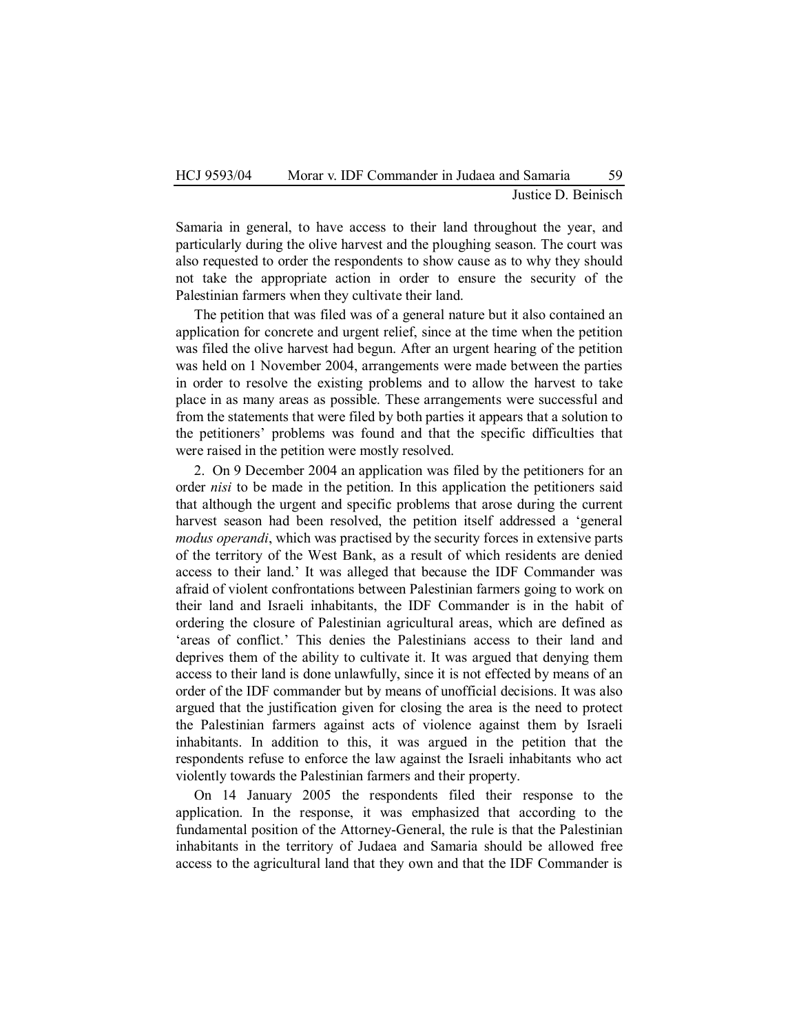Justice D. Beinisch

Samaria in general, to have access to their land throughout the year, and particularly during the olive harvest and the ploughing season. The court was also requested to order the respondents to show cause as to why they should not take the appropriate action in order to ensure the security of the Palestinian farmers when they cultivate their land.

The petition that was filed was of a general nature but it also contained an application for concrete and urgent relief, since at the time when the petition was filed the olive harvest had begun. After an urgent hearing of the petition was held on 1 November 2004, arrangements were made between the parties in order to resolve the existing problems and to allow the harvest to take place in as many areas as possible. These arrangements were successful and from the statements that were filed by both parties it appears that a solution to the petitioners' problems was found and that the specific difficulties that were raised in the petition were mostly resolved.

2. On 9 December 2004 an application was filed by the petitioners for an order *nisi* to be made in the petition. In this application the petitioners said that although the urgent and specific problems that arose during the current harvest season had been resolved, the petition itself addressed a 'general *modus operandi*, which was practised by the security forces in extensive parts of the territory of the West Bank, as a result of which residents are denied access to their land.' It was alleged that because the IDF Commander was afraid of violent confrontations between Palestinian farmers going to work on their land and Israeli inhabitants, the IDF Commander is in the habit of ordering the closure of Palestinian agricultural areas, which are defined as 'areas of conflict.' This denies the Palestinians access to their land and deprives them of the ability to cultivate it. It was argued that denying them access to their land is done unlawfully, since it is not effected by means of an order of the IDF commander but by means of unofficial decisions. It was also argued that the justification given for closing the area is the need to protect the Palestinian farmers against acts of violence against them by Israeli inhabitants. In addition to this, it was argued in the petition that the respondents refuse to enforce the law against the Israeli inhabitants who act violently towards the Palestinian farmers and their property.

On 14 January 2005 the respondents filed their response to the application. In the response, it was emphasized that according to the fundamental position of the Attorney-General, the rule is that the Palestinian inhabitants in the territory of Judaea and Samaria should be allowed free access to the agricultural land that they own and that the IDF Commander is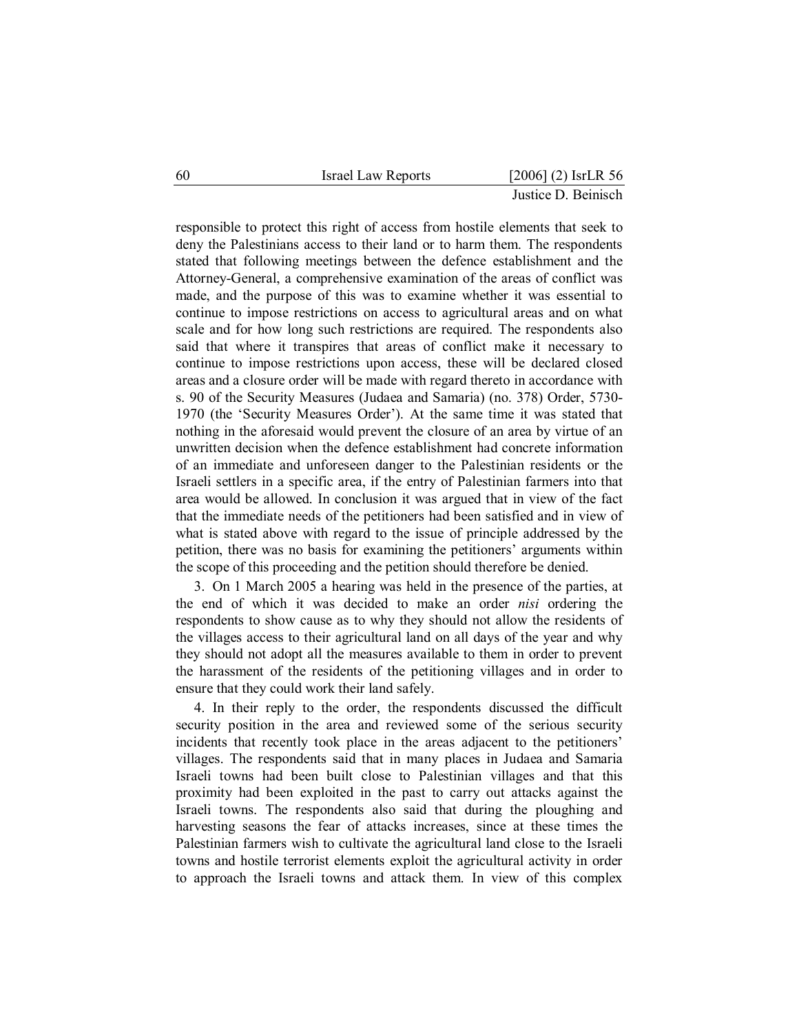| 60 | Israel Law Reports |  | $[2006]$ (2) IsrLR 56 |  |
|----|--------------------|--|-----------------------|--|
|    |                    |  |                       |  |

responsible to protect this right of access from hostile elements that seek to deny the Palestinians access to their land or to harm them. The respondents stated that following meetings between the defence establishment and the Attorney-General, a comprehensive examination of the areas of conflict was made, and the purpose of this was to examine whether it was essential to continue to impose restrictions on access to agricultural areas and on what scale and for how long such restrictions are required. The respondents also said that where it transpires that areas of conflict make it necessary to continue to impose restrictions upon access, these will be declared closed areas and a closure order will be made with regard thereto in accordance with s. 90 of the Security Measures (Judaea and Samaria) (no. 378) Order, 5730- 1970 (the 'Security Measures Order'). At the same time it was stated that nothing in the aforesaid would prevent the closure of an area by virtue of an unwritten decision when the defence establishment had concrete information of an immediate and unforeseen danger to the Palestinian residents or the Israeli settlers in a specific area, if the entry of Palestinian farmers into that area would be allowed. In conclusion it was argued that in view of the fact that the immediate needs of the petitioners had been satisfied and in view of what is stated above with regard to the issue of principle addressed by the petition, there was no basis for examining the petitioners' arguments within the scope of this proceeding and the petition should therefore be denied.

3. On 1 March 2005 a hearing was held in the presence of the parties, at the end of which it was decided to make an order *nisi* ordering the respondents to show cause as to why they should not allow the residents of the villages access to their agricultural land on all days of the year and why they should not adopt all the measures available to them in order to prevent the harassment of the residents of the petitioning villages and in order to ensure that they could work their land safely.

4. In their reply to the order, the respondents discussed the difficult security position in the area and reviewed some of the serious security incidents that recently took place in the areas adjacent to the petitioners' villages. The respondents said that in many places in Judaea and Samaria Israeli towns had been built close to Palestinian villages and that this proximity had been exploited in the past to carry out attacks against the Israeli towns. The respondents also said that during the ploughing and harvesting seasons the fear of attacks increases, since at these times the Palestinian farmers wish to cultivate the agricultural land close to the Israeli towns and hostile terrorist elements exploit the agricultural activity in order to approach the Israeli towns and attack them. In view of this complex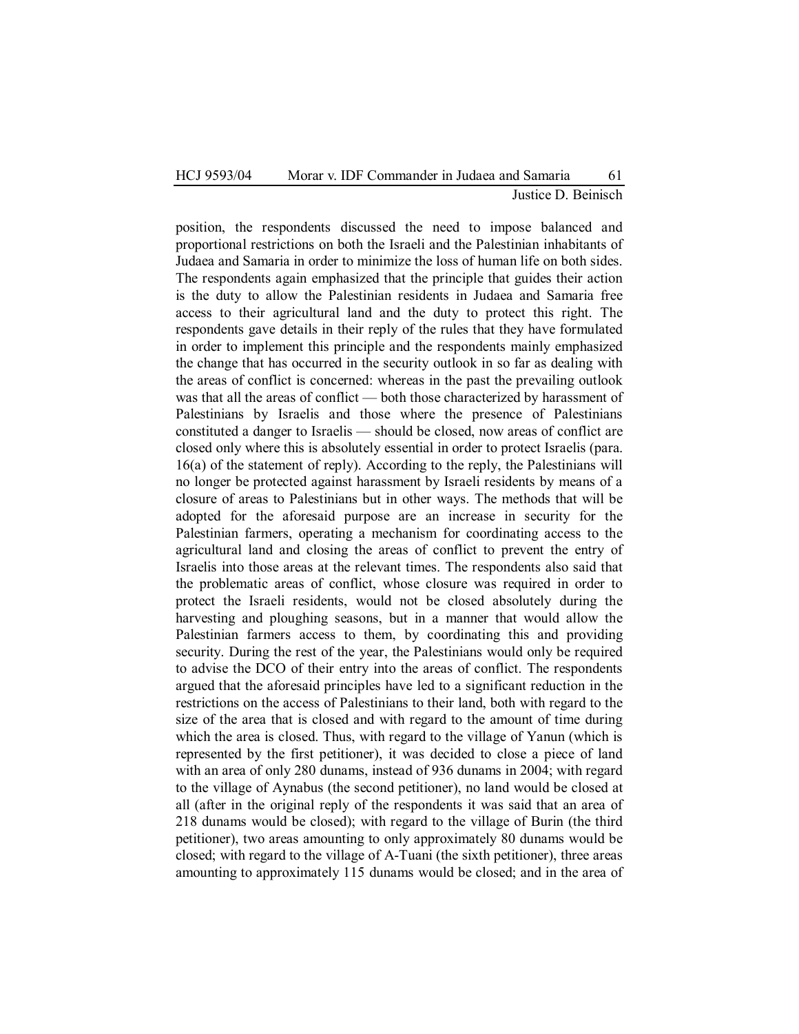## HCJ 9593/04 Morar v. IDF Commander in Judaea and Samaria 61 Justice D. Beinisch

position, the respondents discussed the need to impose balanced and proportional restrictions on both the Israeli and the Palestinian inhabitants of Judaea and Samaria in order to minimize the loss of human life on both sides. The respondents again emphasized that the principle that guides their action is the duty to allow the Palestinian residents in Judaea and Samaria free access to their agricultural land and the duty to protect this right. The respondents gave details in their reply of the rules that they have formulated in order to implement this principle and the respondents mainly emphasized the change that has occurred in the security outlook in so far as dealing with the areas of conflict is concerned: whereas in the past the prevailing outlook was that all the areas of conflict — both those characterized by harassment of Palestinians by Israelis and those where the presence of Palestinians constituted a danger to Israelis — should be closed, now areas of conflict are closed only where this is absolutely essential in order to protect Israelis (para. 16(a) of the statement of reply). According to the reply, the Palestinians will no longer be protected against harassment by Israeli residents by means of a closure of areas to Palestinians but in other ways. The methods that will be adopted for the aforesaid purpose are an increase in security for the Palestinian farmers, operating a mechanism for coordinating access to the agricultural land and closing the areas of conflict to prevent the entry of Israelis into those areas at the relevant times. The respondents also said that the problematic areas of conflict, whose closure was required in order to protect the Israeli residents, would not be closed absolutely during the harvesting and ploughing seasons, but in a manner that would allow the Palestinian farmers access to them, by coordinating this and providing security. During the rest of the year, the Palestinians would only be required to advise the DCO of their entry into the areas of conflict. The respondents argued that the aforesaid principles have led to a significant reduction in the restrictions on the access of Palestinians to their land, both with regard to the size of the area that is closed and with regard to the amount of time during which the area is closed. Thus, with regard to the village of Yanun (which is represented by the first petitioner), it was decided to close a piece of land with an area of only 280 dunams, instead of 936 dunams in 2004; with regard to the village of Aynabus (the second petitioner), no land would be closed at all (after in the original reply of the respondents it was said that an area of 218 dunams would be closed); with regard to the village of Burin (the third petitioner), two areas amounting to only approximately 80 dunams would be closed; with regard to the village of A-Tuani (the sixth petitioner), three areas amounting to approximately 115 dunams would be closed; and in the area of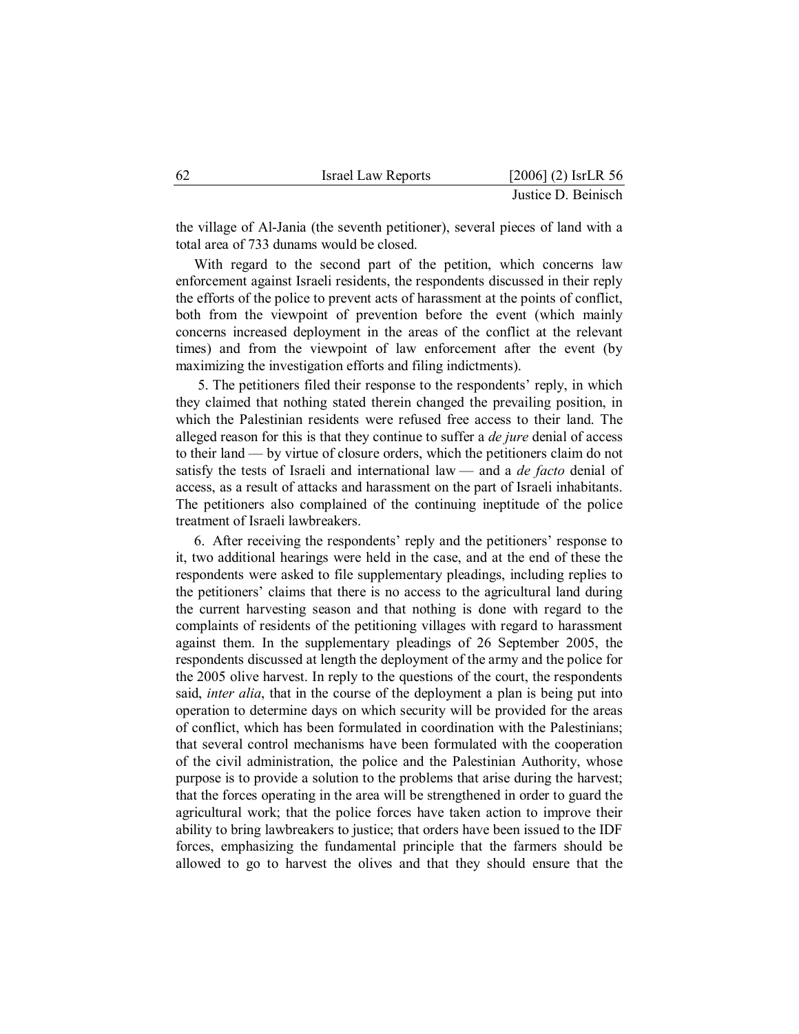| 62 | <b>Israel Law Reports</b> | $[2006]$ (2) IsrLR 56 |
|----|---------------------------|-----------------------|
|    |                           | Justice D. Beinisch   |

the village of Al-Jania (the seventh petitioner), several pieces of land with a total area of 733 dunams would be closed.

With regard to the second part of the petition, which concerns law enforcement against Israeli residents, the respondents discussed in their reply the efforts of the police to prevent acts of harassment at the points of conflict, both from the viewpoint of prevention before the event (which mainly concerns increased deployment in the areas of the conflict at the relevant times) and from the viewpoint of law enforcement after the event (by maximizing the investigation efforts and filing indictments).

 5. The petitioners filed their response to the respondents' reply, in which they claimed that nothing stated therein changed the prevailing position, in which the Palestinian residents were refused free access to their land. The alleged reason for this is that they continue to suffer a *de jure* denial of access to their land — by virtue of closure orders, which the petitioners claim do not satisfy the tests of Israeli and international law — and a *de facto* denial of access, as a result of attacks and harassment on the part of Israeli inhabitants. The petitioners also complained of the continuing ineptitude of the police treatment of Israeli lawbreakers.

6. After receiving the respondents' reply and the petitioners' response to it, two additional hearings were held in the case, and at the end of these the respondents were asked to file supplementary pleadings, including replies to the petitioners' claims that there is no access to the agricultural land during the current harvesting season and that nothing is done with regard to the complaints of residents of the petitioning villages with regard to harassment against them. In the supplementary pleadings of 26 September 2005, the respondents discussed at length the deployment of the army and the police for the 2005 olive harvest. In reply to the questions of the court, the respondents said, *inter alia*, that in the course of the deployment a plan is being put into operation to determine days on which security will be provided for the areas of conflict, which has been formulated in coordination with the Palestinians; that several control mechanisms have been formulated with the cooperation of the civil administration, the police and the Palestinian Authority, whose purpose is to provide a solution to the problems that arise during the harvest; that the forces operating in the area will be strengthened in order to guard the agricultural work; that the police forces have taken action to improve their ability to bring lawbreakers to justice; that orders have been issued to the IDF forces, emphasizing the fundamental principle that the farmers should be allowed to go to harvest the olives and that they should ensure that the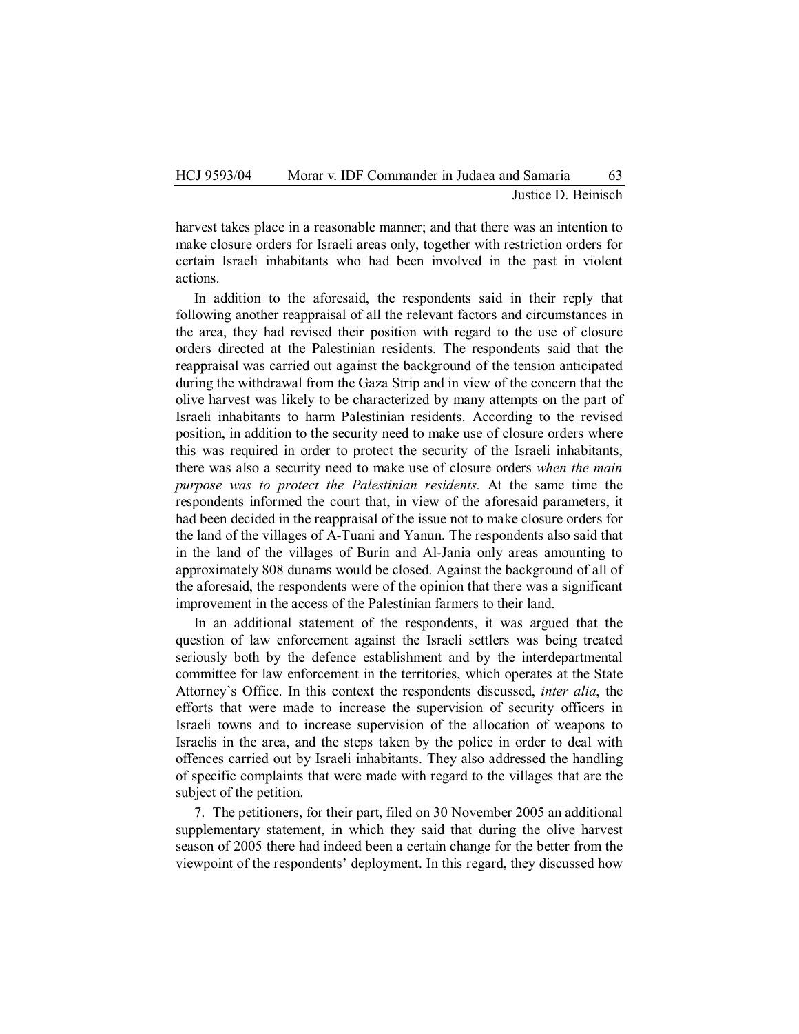Justice D. Beinisch

harvest takes place in a reasonable manner; and that there was an intention to make closure orders for Israeli areas only, together with restriction orders for certain Israeli inhabitants who had been involved in the past in violent actions.

In addition to the aforesaid, the respondents said in their reply that following another reappraisal of all the relevant factors and circumstances in the area, they had revised their position with regard to the use of closure orders directed at the Palestinian residents. The respondents said that the reappraisal was carried out against the background of the tension anticipated during the withdrawal from the Gaza Strip and in view of the concern that the olive harvest was likely to be characterized by many attempts on the part of Israeli inhabitants to harm Palestinian residents. According to the revised position, in addition to the security need to make use of closure orders where this was required in order to protect the security of the Israeli inhabitants, there was also a security need to make use of closure orders *when the main purpose was to protect the Palestinian residents.* At the same time the respondents informed the court that, in view of the aforesaid parameters, it had been decided in the reappraisal of the issue not to make closure orders for the land of the villages of A-Tuani and Yanun. The respondents also said that in the land of the villages of Burin and Al-Jania only areas amounting to approximately 808 dunams would be closed. Against the background of all of the aforesaid, the respondents were of the opinion that there was a significant improvement in the access of the Palestinian farmers to their land.

In an additional statement of the respondents, it was argued that the question of law enforcement against the Israeli settlers was being treated seriously both by the defence establishment and by the interdepartmental committee for law enforcement in the territories, which operates at the State Attorney's Office. In this context the respondents discussed, *inter alia*, the efforts that were made to increase the supervision of security officers in Israeli towns and to increase supervision of the allocation of weapons to Israelis in the area, and the steps taken by the police in order to deal with offences carried out by Israeli inhabitants. They also addressed the handling of specific complaints that were made with regard to the villages that are the subject of the petition.

7. The petitioners, for their part, filed on 30 November 2005 an additional supplementary statement, in which they said that during the olive harvest season of 2005 there had indeed been a certain change for the better from the viewpoint of the respondents' deployment. In this regard, they discussed how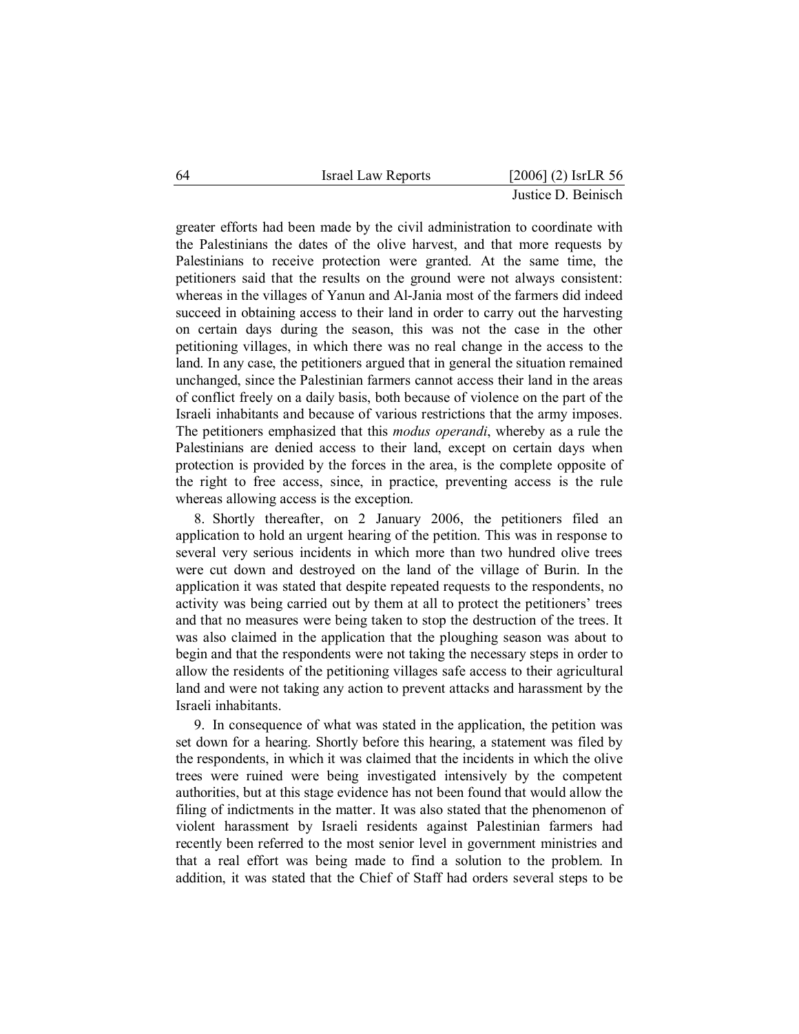| 64 | Israel Law Reports |  | $[2006]$ (2) IsrLR 56 |  |
|----|--------------------|--|-----------------------|--|
|    |                    |  |                       |  |

greater efforts had been made by the civil administration to coordinate with the Palestinians the dates of the olive harvest, and that more requests by Palestinians to receive protection were granted. At the same time, the petitioners said that the results on the ground were not always consistent: whereas in the villages of Yanun and Al-Jania most of the farmers did indeed succeed in obtaining access to their land in order to carry out the harvesting on certain days during the season, this was not the case in the other petitioning villages, in which there was no real change in the access to the land. In any case, the petitioners argued that in general the situation remained unchanged, since the Palestinian farmers cannot access their land in the areas of conflict freely on a daily basis, both because of violence on the part of the Israeli inhabitants and because of various restrictions that the army imposes. The petitioners emphasized that this *modus operandi*, whereby as a rule the Palestinians are denied access to their land, except on certain days when protection is provided by the forces in the area, is the complete opposite of the right to free access, since, in practice, preventing access is the rule whereas allowing access is the exception.

8. Shortly thereafter, on 2 January 2006, the petitioners filed an application to hold an urgent hearing of the petition. This was in response to several very serious incidents in which more than two hundred olive trees were cut down and destroyed on the land of the village of Burin. In the application it was stated that despite repeated requests to the respondents, no activity was being carried out by them at all to protect the petitioners' trees and that no measures were being taken to stop the destruction of the trees. It was also claimed in the application that the ploughing season was about to begin and that the respondents were not taking the necessary steps in order to allow the residents of the petitioning villages safe access to their agricultural land and were not taking any action to prevent attacks and harassment by the Israeli inhabitants.

9. In consequence of what was stated in the application, the petition was set down for a hearing. Shortly before this hearing, a statement was filed by the respondents, in which it was claimed that the incidents in which the olive trees were ruined were being investigated intensively by the competent authorities, but at this stage evidence has not been found that would allow the filing of indictments in the matter. It was also stated that the phenomenon of violent harassment by Israeli residents against Palestinian farmers had recently been referred to the most senior level in government ministries and that a real effort was being made to find a solution to the problem. In addition, it was stated that the Chief of Staff had orders several steps to be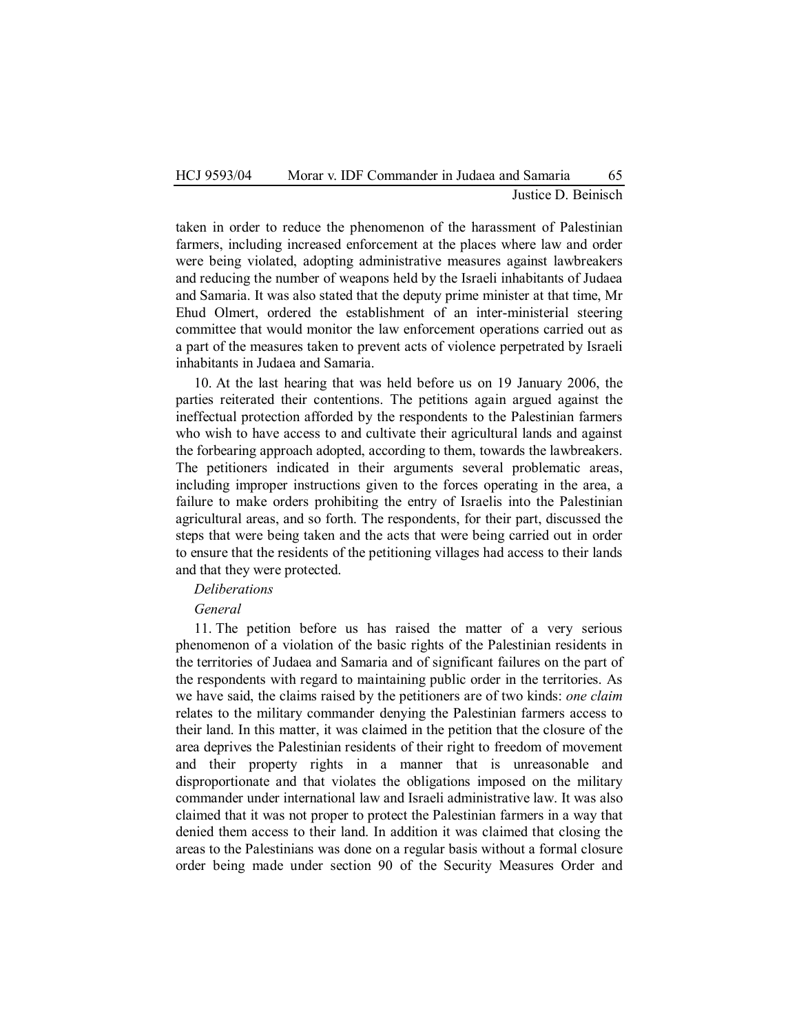taken in order to reduce the phenomenon of the harassment of Palestinian farmers, including increased enforcement at the places where law and order were being violated, adopting administrative measures against lawbreakers and reducing the number of weapons held by the Israeli inhabitants of Judaea and Samaria. It was also stated that the deputy prime minister at that time, Mr Ehud Olmert, ordered the establishment of an inter-ministerial steering committee that would monitor the law enforcement operations carried out as a part of the measures taken to prevent acts of violence perpetrated by Israeli inhabitants in Judaea and Samaria.

10. At the last hearing that was held before us on 19 January 2006, the parties reiterated their contentions. The petitions again argued against the ineffectual protection afforded by the respondents to the Palestinian farmers who wish to have access to and cultivate their agricultural lands and against the forbearing approach adopted, according to them, towards the lawbreakers. The petitioners indicated in their arguments several problematic areas, including improper instructions given to the forces operating in the area, a failure to make orders prohibiting the entry of Israelis into the Palestinian agricultural areas, and so forth. The respondents, for their part, discussed the steps that were being taken and the acts that were being carried out in order to ensure that the residents of the petitioning villages had access to their lands and that they were protected.

#### *Deliberations*

## *General*

11. The petition before us has raised the matter of a very serious phenomenon of a violation of the basic rights of the Palestinian residents in the territories of Judaea and Samaria and of significant failures on the part of the respondents with regard to maintaining public order in the territories. As we have said, the claims raised by the petitioners are of two kinds: *one claim* relates to the military commander denying the Palestinian farmers access to their land. In this matter, it was claimed in the petition that the closure of the area deprives the Palestinian residents of their right to freedom of movement and their property rights in a manner that is unreasonable and disproportionate and that violates the obligations imposed on the military commander under international law and Israeli administrative law. It was also claimed that it was not proper to protect the Palestinian farmers in a way that denied them access to their land. In addition it was claimed that closing the areas to the Palestinians was done on a regular basis without a formal closure order being made under section 90 of the Security Measures Order and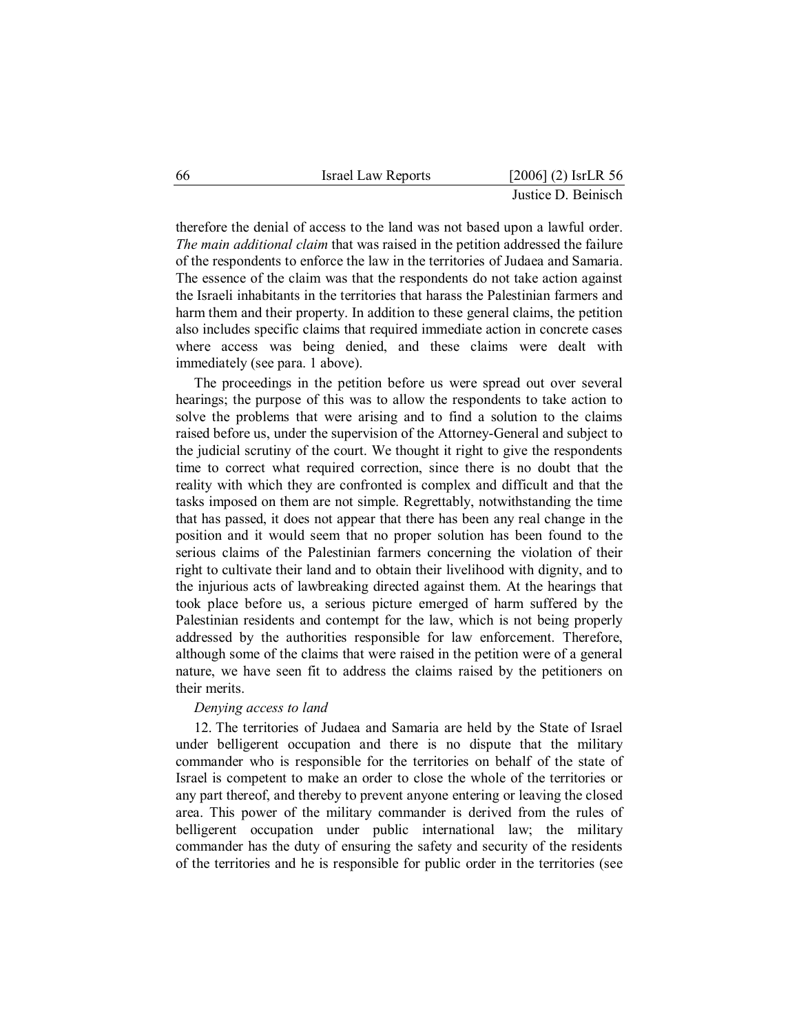| 66 | <b>Israel Law Reports</b> | $[2006]$ (2) IsrLR 56 |
|----|---------------------------|-----------------------|
|    |                           | Justice D. Beinisch   |

therefore the denial of access to the land was not based upon a lawful order. *The main additional claim* that was raised in the petition addressed the failure of the respondents to enforce the law in the territories of Judaea and Samaria. The essence of the claim was that the respondents do not take action against the Israeli inhabitants in the territories that harass the Palestinian farmers and harm them and their property. In addition to these general claims, the petition also includes specific claims that required immediate action in concrete cases where access was being denied, and these claims were dealt with immediately (see para. 1 above).

The proceedings in the petition before us were spread out over several hearings; the purpose of this was to allow the respondents to take action to solve the problems that were arising and to find a solution to the claims raised before us, under the supervision of the Attorney-General and subject to the judicial scrutiny of the court. We thought it right to give the respondents time to correct what required correction, since there is no doubt that the reality with which they are confronted is complex and difficult and that the tasks imposed on them are not simple. Regrettably, notwithstanding the time that has passed, it does not appear that there has been any real change in the position and it would seem that no proper solution has been found to the serious claims of the Palestinian farmers concerning the violation of their right to cultivate their land and to obtain their livelihood with dignity, and to the injurious acts of lawbreaking directed against them. At the hearings that took place before us, a serious picture emerged of harm suffered by the Palestinian residents and contempt for the law, which is not being properly addressed by the authorities responsible for law enforcement. Therefore, although some of the claims that were raised in the petition were of a general nature, we have seen fit to address the claims raised by the petitioners on their merits.

## *Denying access to land*

12. The territories of Judaea and Samaria are held by the State of Israel under belligerent occupation and there is no dispute that the military commander who is responsible for the territories on behalf of the state of Israel is competent to make an order to close the whole of the territories or any part thereof, and thereby to prevent anyone entering or leaving the closed area. This power of the military commander is derived from the rules of belligerent occupation under public international law; the military commander has the duty of ensuring the safety and security of the residents of the territories and he is responsible for public order in the territories (see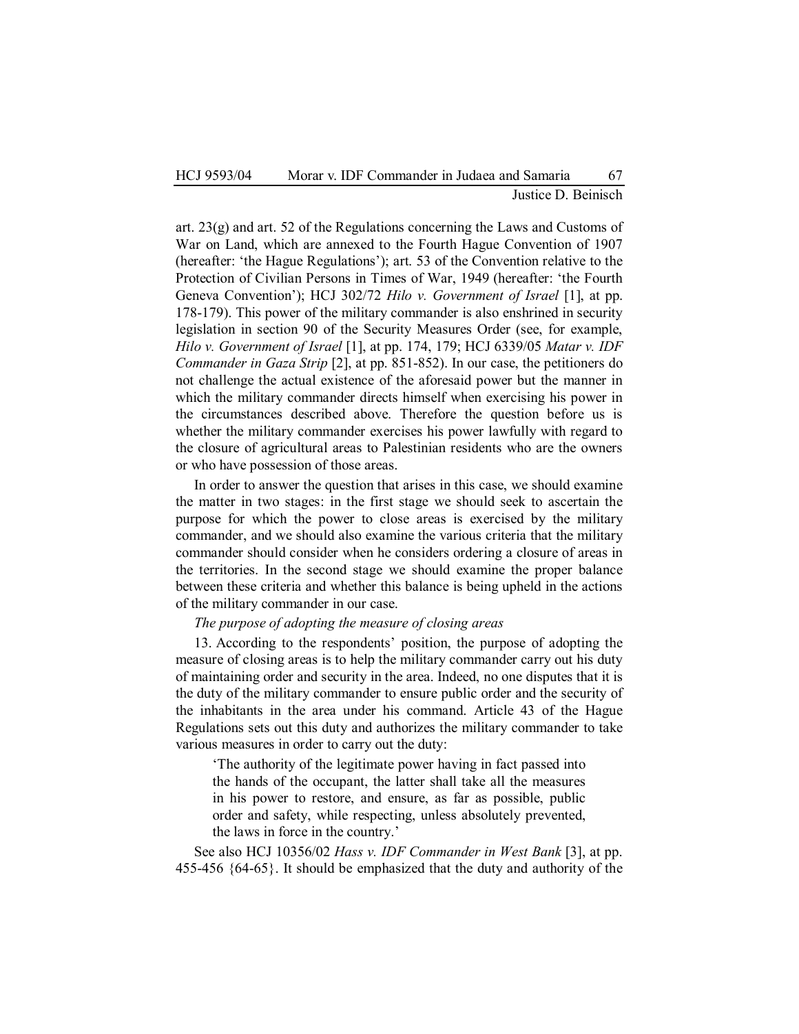Justice D. Beinisch

art. 23(g) and art. 52 of the Regulations concerning the Laws and Customs of War on Land, which are annexed to the Fourth Hague Convention of 1907 (hereafter: 'the Hague Regulations'); art. 53 of the Convention relative to the Protection of Civilian Persons in Times of War, 1949 (hereafter: 'the Fourth Geneva Convention'); HCJ 302/72 *Hilo v. Government of Israel* [1], at pp. 178-179). This power of the military commander is also enshrined in security legislation in section 90 of the Security Measures Order (see, for example, *Hilo v. Government of Israel* [1], at pp. 174, 179; HCJ 6339/05 *Matar v. IDF Commander in Gaza Strip* [2], at pp. 851-852). In our case, the petitioners do not challenge the actual existence of the aforesaid power but the manner in which the military commander directs himself when exercising his power in the circumstances described above. Therefore the question before us is whether the military commander exercises his power lawfully with regard to the closure of agricultural areas to Palestinian residents who are the owners or who have possession of those areas.

In order to answer the question that arises in this case, we should examine the matter in two stages: in the first stage we should seek to ascertain the purpose for which the power to close areas is exercised by the military commander, and we should also examine the various criteria that the military commander should consider when he considers ordering a closure of areas in the territories. In the second stage we should examine the proper balance between these criteria and whether this balance is being upheld in the actions of the military commander in our case.

### *The purpose of adopting the measure of closing areas*

13. According to the respondents' position, the purpose of adopting the measure of closing areas is to help the military commander carry out his duty of maintaining order and security in the area. Indeed, no one disputes that it is the duty of the military commander to ensure public order and the security of the inhabitants in the area under his command. Article 43 of the Hague Regulations sets out this duty and authorizes the military commander to take various measures in order to carry out the duty:

 'The authority of the legitimate power having in fact passed into the hands of the occupant, the latter shall take all the measures in his power to restore, and ensure, as far as possible, public order and safety, while respecting, unless absolutely prevented, the laws in force in the country.'

See also HCJ 10356/02 *Hass v. IDF Commander in West Bank* [3], at pp. 455-456 {64-65}. It should be emphasized that the duty and authority of the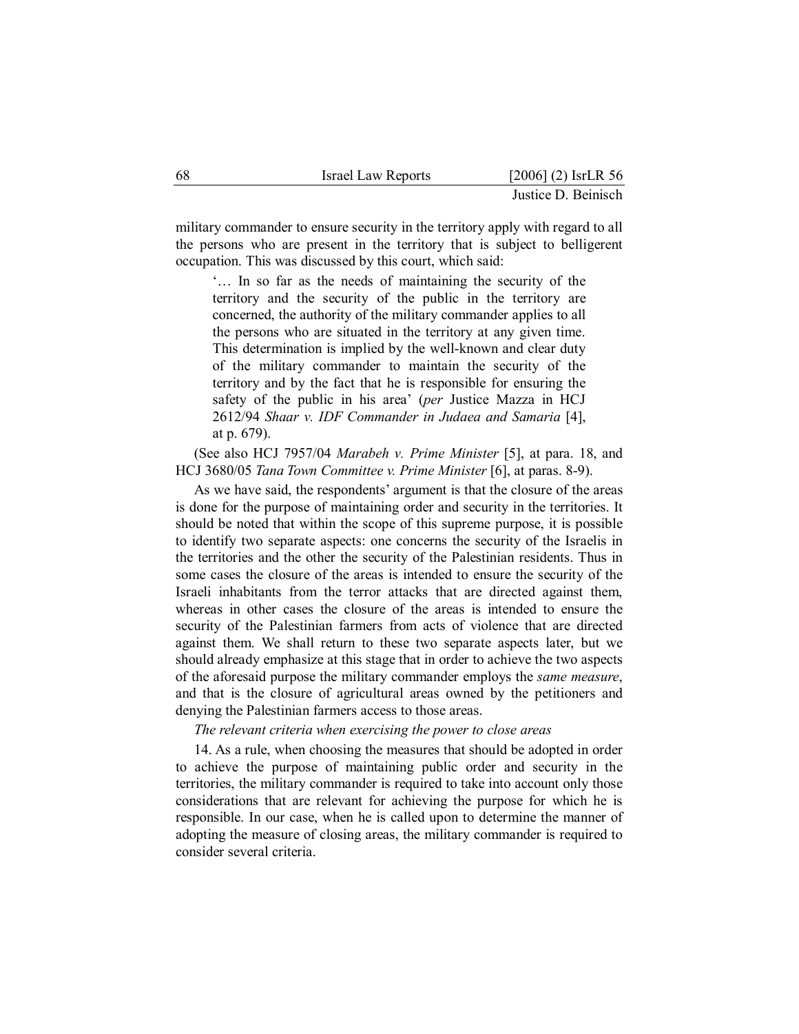| 68 | <b>Israel Law Reports</b> | $[2006]$ (2) IsrLR 56 |
|----|---------------------------|-----------------------|
|    |                           | Justice D. Beinisch   |

military commander to ensure security in the territory apply with regard to all the persons who are present in the territory that is subject to belligerent occupation. This was discussed by this court, which said:

 '… In so far as the needs of maintaining the security of the territory and the security of the public in the territory are concerned, the authority of the military commander applies to all the persons who are situated in the territory at any given time. This determination is implied by the well-known and clear duty of the military commander to maintain the security of the territory and by the fact that he is responsible for ensuring the safety of the public in his area' (*per* Justice Mazza in HCJ 2612/94 *Shaar v. IDF Commander in Judaea and Samaria* [4], at p. 679).

(See also HCJ 7957/04 *Marabeh v. Prime Minister* [5], at para. 18, and HCJ 3680/05 *Tana Town Committee v. Prime Minister* [6], at paras. 8-9).

As we have said, the respondents' argument is that the closure of the areas is done for the purpose of maintaining order and security in the territories. It should be noted that within the scope of this supreme purpose, it is possible to identify two separate aspects: one concerns the security of the Israelis in the territories and the other the security of the Palestinian residents. Thus in some cases the closure of the areas is intended to ensure the security of the Israeli inhabitants from the terror attacks that are directed against them, whereas in other cases the closure of the areas is intended to ensure the security of the Palestinian farmers from acts of violence that are directed against them. We shall return to these two separate aspects later, but we should already emphasize at this stage that in order to achieve the two aspects of the aforesaid purpose the military commander employs the *same measure*, and that is the closure of agricultural areas owned by the petitioners and denying the Palestinian farmers access to those areas.

*The relevant criteria when exercising the power to close areas*

14. As a rule, when choosing the measures that should be adopted in order to achieve the purpose of maintaining public order and security in the territories, the military commander is required to take into account only those considerations that are relevant for achieving the purpose for which he is responsible. In our case, when he is called upon to determine the manner of adopting the measure of closing areas, the military commander is required to consider several criteria.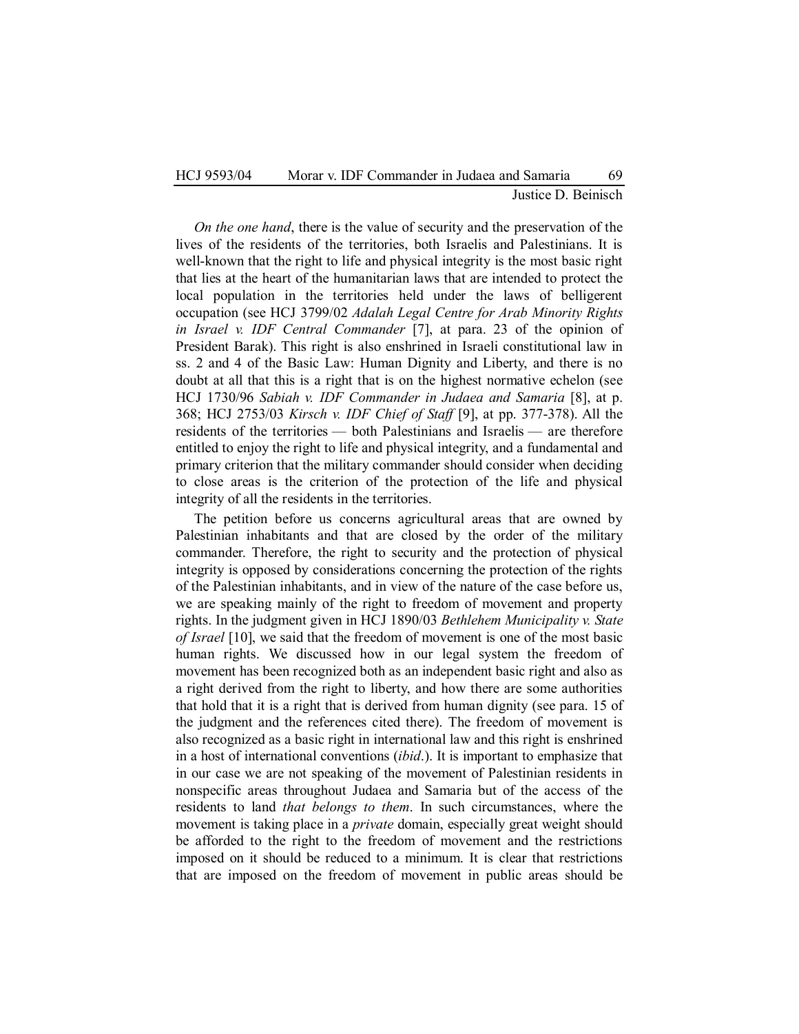## HCJ 9593/04 Morar v. IDF Commander in Judaea and Samaria 69 Justice D. Beinisch

*On the one hand*, there is the value of security and the preservation of the lives of the residents of the territories, both Israelis and Palestinians. It is well-known that the right to life and physical integrity is the most basic right that lies at the heart of the humanitarian laws that are intended to protect the local population in the territories held under the laws of belligerent occupation (see HCJ 3799/02 *Adalah Legal Centre for Arab Minority Rights in Israel v. IDF Central Commander* [7], at para. 23 of the opinion of President Barak). This right is also enshrined in Israeli constitutional law in ss. 2 and 4 of the Basic Law: Human Dignity and Liberty, and there is no doubt at all that this is a right that is on the highest normative echelon (see HCJ 1730/96 *Sabiah v. IDF Commander in Judaea and Samaria* [8], at p. 368; HCJ 2753/03 *Kirsch v. IDF Chief of Staff* [9], at pp. 377-378). All the residents of the territories — both Palestinians and Israelis — are therefore entitled to enjoy the right to life and physical integrity, and a fundamental and primary criterion that the military commander should consider when deciding to close areas is the criterion of the protection of the life and physical integrity of all the residents in the territories.

The petition before us concerns agricultural areas that are owned by Palestinian inhabitants and that are closed by the order of the military commander. Therefore, the right to security and the protection of physical integrity is opposed by considerations concerning the protection of the rights of the Palestinian inhabitants, and in view of the nature of the case before us, we are speaking mainly of the right to freedom of movement and property rights. In the judgment given in HCJ 1890/03 *Bethlehem Municipality v. State of Israel* [10], we said that the freedom of movement is one of the most basic human rights. We discussed how in our legal system the freedom of movement has been recognized both as an independent basic right and also as a right derived from the right to liberty, and how there are some authorities that hold that it is a right that is derived from human dignity (see para. 15 of the judgment and the references cited there). The freedom of movement is also recognized as a basic right in international law and this right is enshrined in a host of international conventions (*ibid*.). It is important to emphasize that in our case we are not speaking of the movement of Palestinian residents in nonspecific areas throughout Judaea and Samaria but of the access of the residents to land *that belongs to them*. In such circumstances, where the movement is taking place in a *private* domain, especially great weight should be afforded to the right to the freedom of movement and the restrictions imposed on it should be reduced to a minimum. It is clear that restrictions that are imposed on the freedom of movement in public areas should be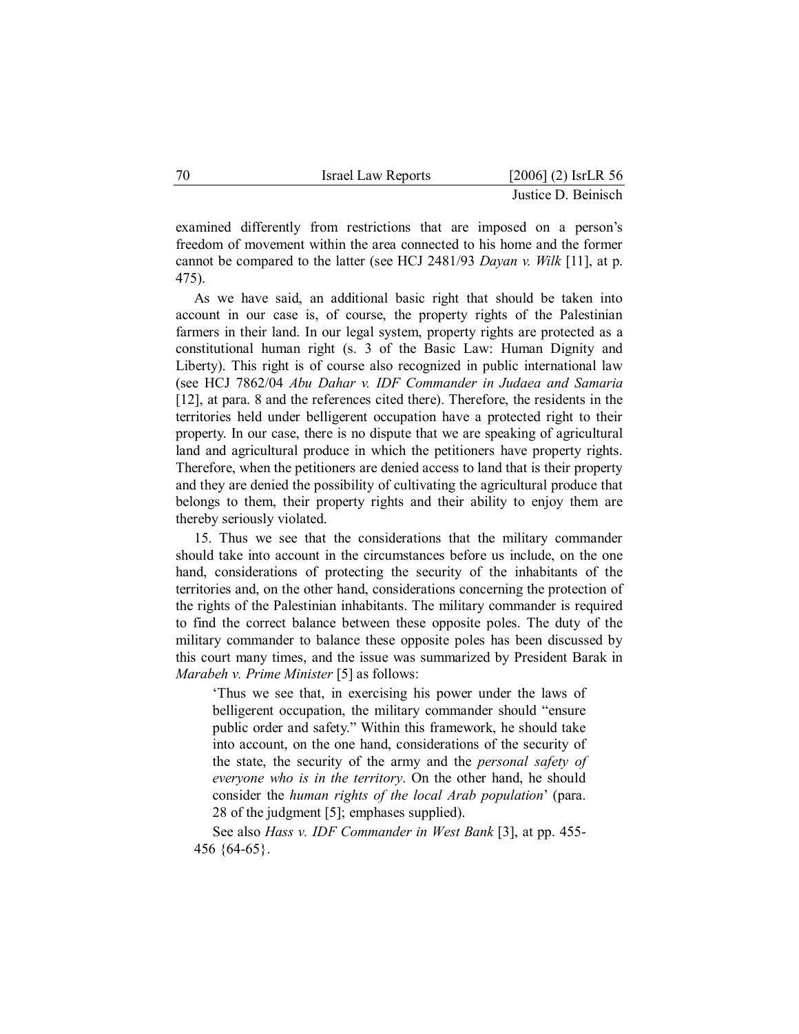| 70 | <b>Israel Law Reports</b> | $[2006]$ (2) IsrLR 56 |
|----|---------------------------|-----------------------|
|    |                           | Justice D. Beinisch   |

examined differently from restrictions that are imposed on a person's freedom of movement within the area connected to his home and the former cannot be compared to the latter (see HCJ 2481/93 *Dayan v. Wilk* [11], at p. 475).

As we have said, an additional basic right that should be taken into account in our case is, of course, the property rights of the Palestinian farmers in their land. In our legal system, property rights are protected as a constitutional human right (s. 3 of the Basic Law: Human Dignity and Liberty). This right is of course also recognized in public international law (see HCJ 7862/04 *Abu Dahar v. IDF Commander in Judaea and Samaria* [12], at para. 8 and the references cited there). Therefore, the residents in the territories held under belligerent occupation have a protected right to their property. In our case, there is no dispute that we are speaking of agricultural land and agricultural produce in which the petitioners have property rights. Therefore, when the petitioners are denied access to land that is their property and they are denied the possibility of cultivating the agricultural produce that belongs to them, their property rights and their ability to enjoy them are thereby seriously violated.

15. Thus we see that the considerations that the military commander should take into account in the circumstances before us include, on the one hand, considerations of protecting the security of the inhabitants of the territories and, on the other hand, considerations concerning the protection of the rights of the Palestinian inhabitants. The military commander is required to find the correct balance between these opposite poles. The duty of the military commander to balance these opposite poles has been discussed by this court many times, and the issue was summarized by President Barak in *Marabeh v. Prime Minister* [5] as follows:

 'Thus we see that, in exercising his power under the laws of belligerent occupation, the military commander should "ensure public order and safety." Within this framework, he should take into account, on the one hand, considerations of the security of the state, the security of the army and the *personal safety of everyone who is in the territory*. On the other hand, he should consider the *human rights of the local Arab population*' (para. 28 of the judgment [5]; emphases supplied).

See also *Hass v. IDF Commander in West Bank* [3], at pp. 455- 456 {64-65}.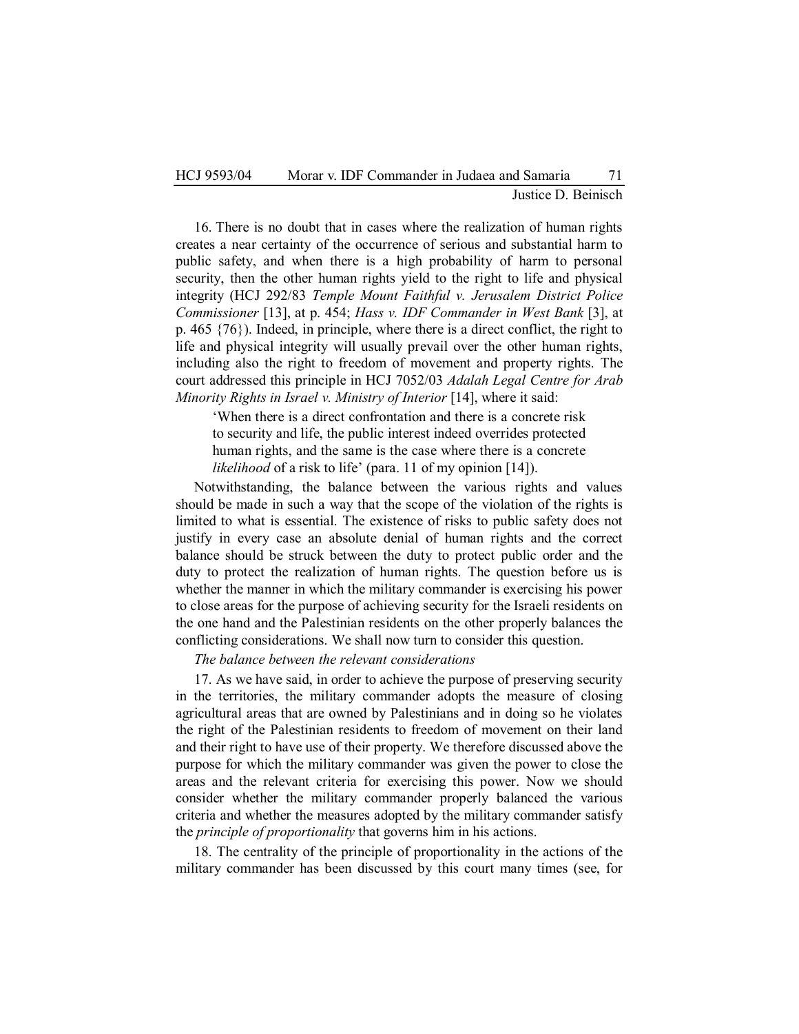16. There is no doubt that in cases where the realization of human rights creates a near certainty of the occurrence of serious and substantial harm to public safety, and when there is a high probability of harm to personal security, then the other human rights yield to the right to life and physical integrity (HCJ 292/83 *Temple Mount Faithful v. Jerusalem District Police Commissioner* [13], at p. 454; *Hass v. IDF Commander in West Bank* [3], at p. 465 {76}). Indeed, in principle, where there is a direct conflict, the right to life and physical integrity will usually prevail over the other human rights, including also the right to freedom of movement and property rights. The court addressed this principle in HCJ 7052/03 *Adalah Legal Centre for Arab Minority Rights in Israel v. Ministry of Interior* [14], where it said:

 'When there is a direct confrontation and there is a concrete risk to security and life, the public interest indeed overrides protected human rights, and the same is the case where there is a concrete *likelihood* of a risk to life' (para. 11 of my opinion [14]).

Notwithstanding, the balance between the various rights and values should be made in such a way that the scope of the violation of the rights is limited to what is essential. The existence of risks to public safety does not justify in every case an absolute denial of human rights and the correct balance should be struck between the duty to protect public order and the duty to protect the realization of human rights. The question before us is whether the manner in which the military commander is exercising his power to close areas for the purpose of achieving security for the Israeli residents on the one hand and the Palestinian residents on the other properly balances the conflicting considerations. We shall now turn to consider this question.

*The balance between the relevant considerations* 

17. As we have said, in order to achieve the purpose of preserving security in the territories, the military commander adopts the measure of closing agricultural areas that are owned by Palestinians and in doing so he violates the right of the Palestinian residents to freedom of movement on their land and their right to have use of their property. We therefore discussed above the purpose for which the military commander was given the power to close the areas and the relevant criteria for exercising this power. Now we should consider whether the military commander properly balanced the various criteria and whether the measures adopted by the military commander satisfy the *principle of proportionality* that governs him in his actions.

18. The centrality of the principle of proportionality in the actions of the military commander has been discussed by this court many times (see, for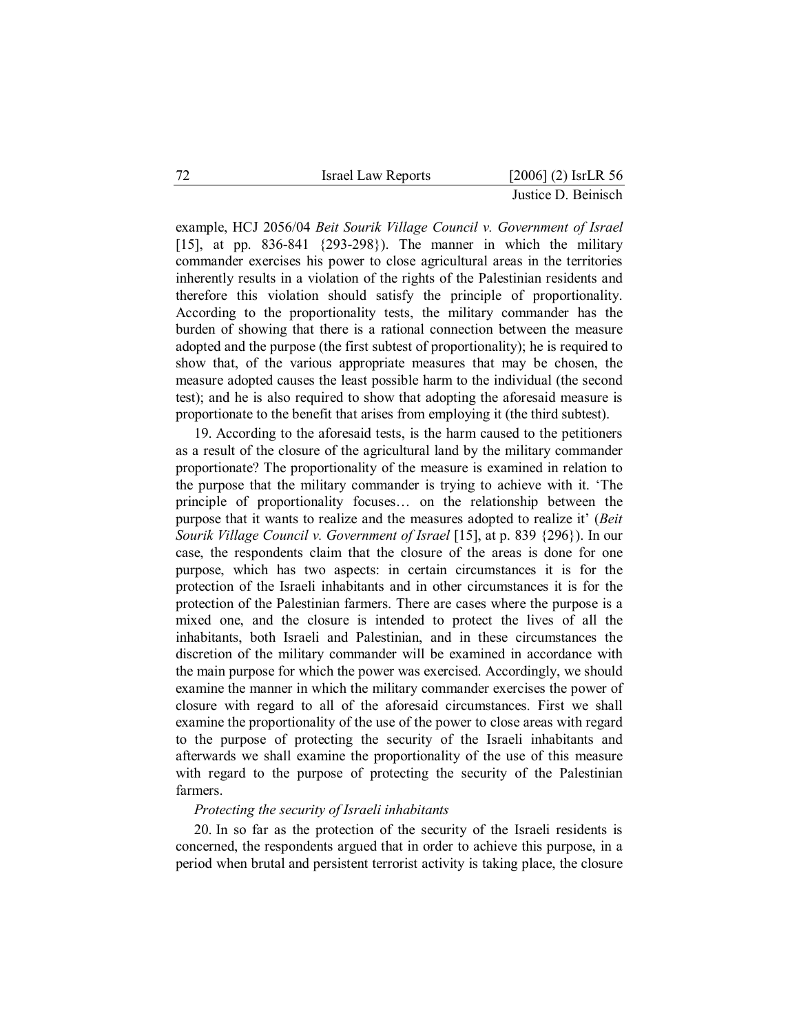| 72<br>Israel Law Reports |  |  | $[2006]$ (2) IsrLR 56 |  |
|--------------------------|--|--|-----------------------|--|
|--------------------------|--|--|-----------------------|--|

example, HCJ 2056/04 *Beit Sourik Village Council v. Government of Israel* [15], at pp. 836-841 {293-298}). The manner in which the military commander exercises his power to close agricultural areas in the territories inherently results in a violation of the rights of the Palestinian residents and therefore this violation should satisfy the principle of proportionality. According to the proportionality tests, the military commander has the burden of showing that there is a rational connection between the measure adopted and the purpose (the first subtest of proportionality); he is required to show that, of the various appropriate measures that may be chosen, the measure adopted causes the least possible harm to the individual (the second test); and he is also required to show that adopting the aforesaid measure is proportionate to the benefit that arises from employing it (the third subtest).

19. According to the aforesaid tests, is the harm caused to the petitioners as a result of the closure of the agricultural land by the military commander proportionate? The proportionality of the measure is examined in relation to the purpose that the military commander is trying to achieve with it. 'The principle of proportionality focuses… on the relationship between the purpose that it wants to realize and the measures adopted to realize it' (*Beit Sourik Village Council v. Government of Israel* [15], at p. 839 {296}). In our case, the respondents claim that the closure of the areas is done for one purpose, which has two aspects: in certain circumstances it is for the protection of the Israeli inhabitants and in other circumstances it is for the protection of the Palestinian farmers. There are cases where the purpose is a mixed one, and the closure is intended to protect the lives of all the inhabitants, both Israeli and Palestinian, and in these circumstances the discretion of the military commander will be examined in accordance with the main purpose for which the power was exercised. Accordingly, we should examine the manner in which the military commander exercises the power of closure with regard to all of the aforesaid circumstances. First we shall examine the proportionality of the use of the power to close areas with regard to the purpose of protecting the security of the Israeli inhabitants and afterwards we shall examine the proportionality of the use of this measure with regard to the purpose of protecting the security of the Palestinian farmers.

#### *Protecting the security of Israeli inhabitants*

20. In so far as the protection of the security of the Israeli residents is concerned, the respondents argued that in order to achieve this purpose, in a period when brutal and persistent terrorist activity is taking place, the closure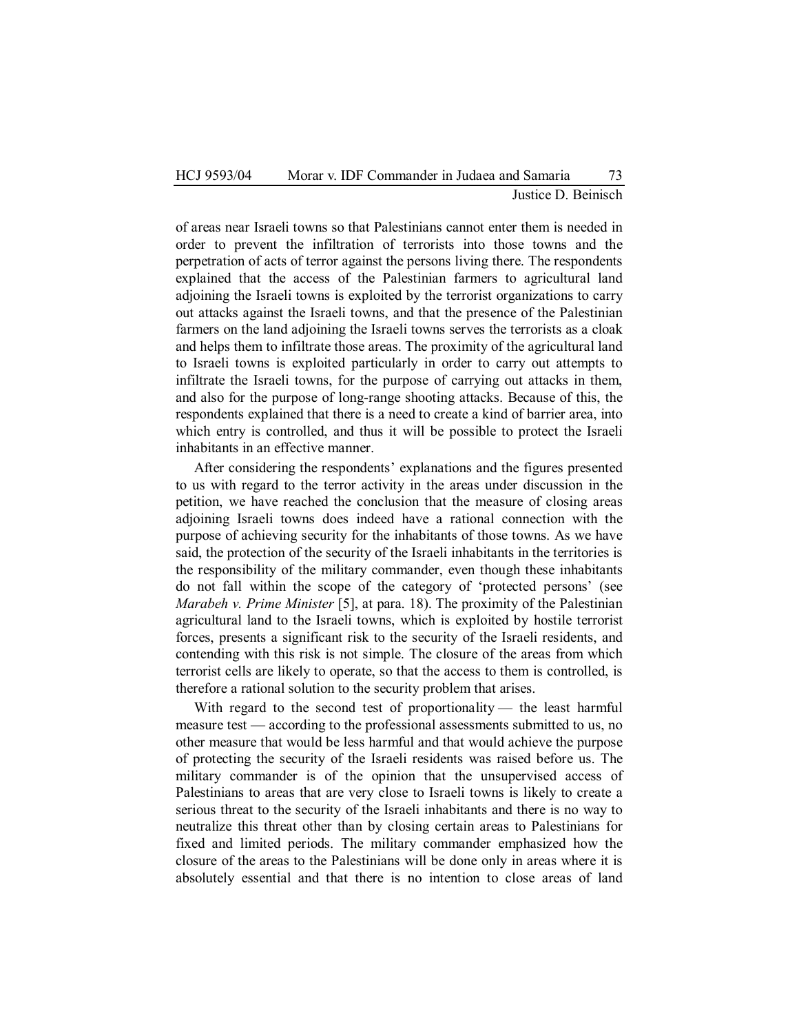## HCJ 9593/04 Morar v. IDF Commander in Judaea and Samaria 73 Justice D. Beinisch

of areas near Israeli towns so that Palestinians cannot enter them is needed in order to prevent the infiltration of terrorists into those towns and the perpetration of acts of terror against the persons living there. The respondents explained that the access of the Palestinian farmers to agricultural land adjoining the Israeli towns is exploited by the terrorist organizations to carry out attacks against the Israeli towns, and that the presence of the Palestinian farmers on the land adjoining the Israeli towns serves the terrorists as a cloak and helps them to infiltrate those areas. The proximity of the agricultural land to Israeli towns is exploited particularly in order to carry out attempts to infiltrate the Israeli towns, for the purpose of carrying out attacks in them, and also for the purpose of long-range shooting attacks. Because of this, the respondents explained that there is a need to create a kind of barrier area, into which entry is controlled, and thus it will be possible to protect the Israeli inhabitants in an effective manner.

After considering the respondents' explanations and the figures presented to us with regard to the terror activity in the areas under discussion in the petition, we have reached the conclusion that the measure of closing areas adjoining Israeli towns does indeed have a rational connection with the purpose of achieving security for the inhabitants of those towns. As we have said, the protection of the security of the Israeli inhabitants in the territories is the responsibility of the military commander, even though these inhabitants do not fall within the scope of the category of 'protected persons' (see *Marabeh v. Prime Minister* [5], at para. 18). The proximity of the Palestinian agricultural land to the Israeli towns, which is exploited by hostile terrorist forces, presents a significant risk to the security of the Israeli residents, and contending with this risk is not simple. The closure of the areas from which terrorist cells are likely to operate, so that the access to them is controlled, is therefore a rational solution to the security problem that arises.

With regard to the second test of proportionality — the least harmful measure test — according to the professional assessments submitted to us, no other measure that would be less harmful and that would achieve the purpose of protecting the security of the Israeli residents was raised before us. The military commander is of the opinion that the unsupervised access of Palestinians to areas that are very close to Israeli towns is likely to create a serious threat to the security of the Israeli inhabitants and there is no way to neutralize this threat other than by closing certain areas to Palestinians for fixed and limited periods. The military commander emphasized how the closure of the areas to the Palestinians will be done only in areas where it is absolutely essential and that there is no intention to close areas of land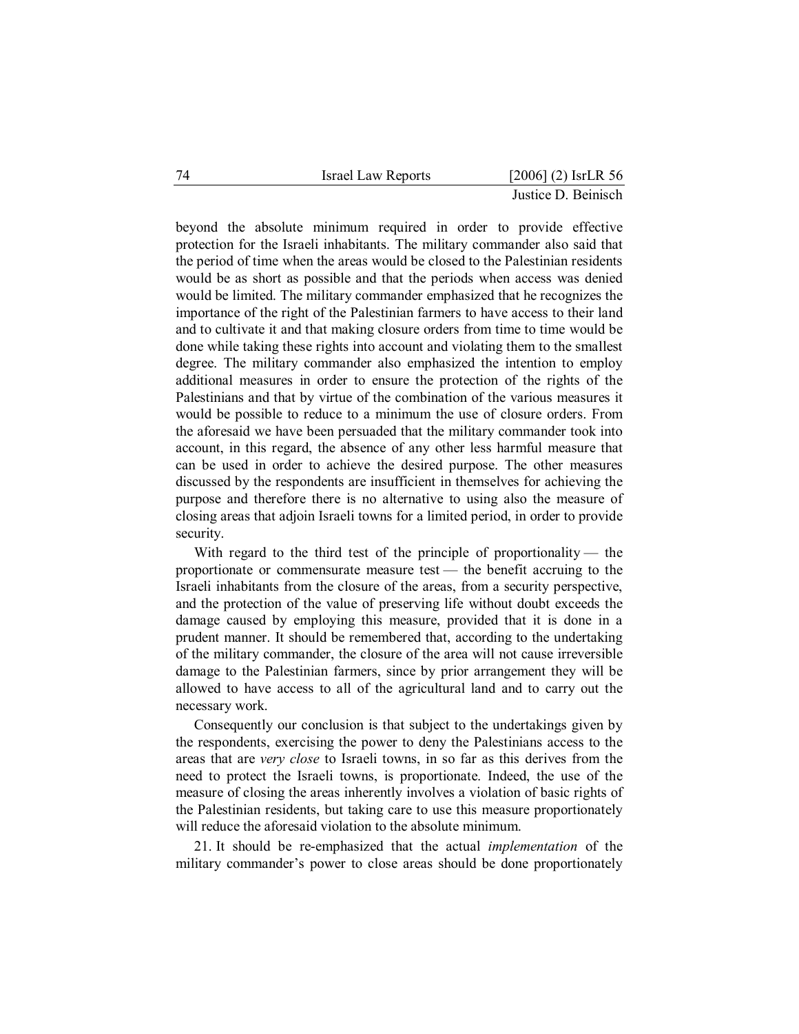|  |  | Israel Law Reports |  |  | $[2006]$ (2) IsrLR 56 |  |
|--|--|--------------------|--|--|-----------------------|--|
|--|--|--------------------|--|--|-----------------------|--|

beyond the absolute minimum required in order to provide effective protection for the Israeli inhabitants. The military commander also said that the period of time when the areas would be closed to the Palestinian residents would be as short as possible and that the periods when access was denied would be limited. The military commander emphasized that he recognizes the importance of the right of the Palestinian farmers to have access to their land and to cultivate it and that making closure orders from time to time would be done while taking these rights into account and violating them to the smallest degree. The military commander also emphasized the intention to employ additional measures in order to ensure the protection of the rights of the Palestinians and that by virtue of the combination of the various measures it would be possible to reduce to a minimum the use of closure orders. From the aforesaid we have been persuaded that the military commander took into account, in this regard, the absence of any other less harmful measure that can be used in order to achieve the desired purpose. The other measures discussed by the respondents are insufficient in themselves for achieving the purpose and therefore there is no alternative to using also the measure of closing areas that adjoin Israeli towns for a limited period, in order to provide security.

With regard to the third test of the principle of proportionality — the proportionate or commensurate measure test — the benefit accruing to the Israeli inhabitants from the closure of the areas, from a security perspective, and the protection of the value of preserving life without doubt exceeds the damage caused by employing this measure, provided that it is done in a prudent manner. It should be remembered that, according to the undertaking of the military commander, the closure of the area will not cause irreversible damage to the Palestinian farmers, since by prior arrangement they will be allowed to have access to all of the agricultural land and to carry out the necessary work.

Consequently our conclusion is that subject to the undertakings given by the respondents, exercising the power to deny the Palestinians access to the areas that are *very close* to Israeli towns, in so far as this derives from the need to protect the Israeli towns, is proportionate. Indeed, the use of the measure of closing the areas inherently involves a violation of basic rights of the Palestinian residents, but taking care to use this measure proportionately will reduce the aforesaid violation to the absolute minimum.

21. It should be re-emphasized that the actual *implementation* of the military commander's power to close areas should be done proportionately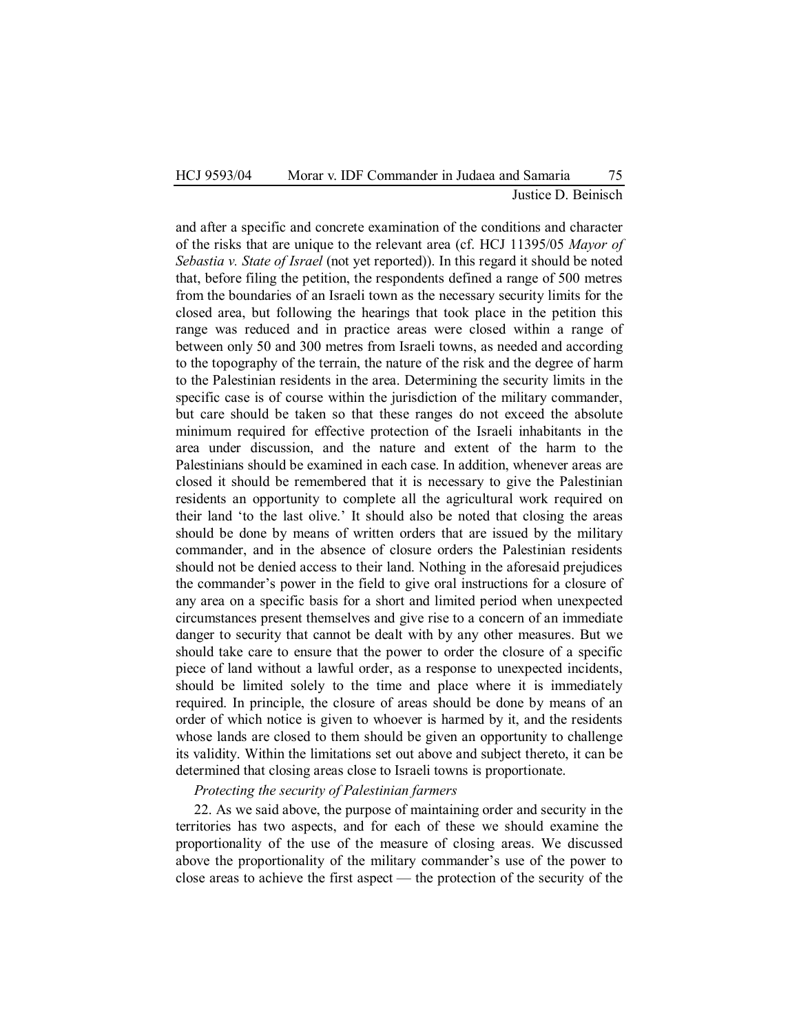## HCJ 9593/04 Morar v. IDF Commander in Judaea and Samaria 75 Justice D. Beinisch

and after a specific and concrete examination of the conditions and character of the risks that are unique to the relevant area (cf. HCJ 11395/05 *Mayor of Sebastia v. State of Israel* (not yet reported)). In this regard it should be noted that, before filing the petition, the respondents defined a range of 500 metres from the boundaries of an Israeli town as the necessary security limits for the closed area, but following the hearings that took place in the petition this range was reduced and in practice areas were closed within a range of between only 50 and 300 metres from Israeli towns, as needed and according to the topography of the terrain, the nature of the risk and the degree of harm to the Palestinian residents in the area. Determining the security limits in the specific case is of course within the jurisdiction of the military commander, but care should be taken so that these ranges do not exceed the absolute minimum required for effective protection of the Israeli inhabitants in the area under discussion, and the nature and extent of the harm to the Palestinians should be examined in each case. In addition, whenever areas are closed it should be remembered that it is necessary to give the Palestinian residents an opportunity to complete all the agricultural work required on their land 'to the last olive.' It should also be noted that closing the areas should be done by means of written orders that are issued by the military commander, and in the absence of closure orders the Palestinian residents should not be denied access to their land. Nothing in the aforesaid prejudices the commander's power in the field to give oral instructions for a closure of any area on a specific basis for a short and limited period when unexpected circumstances present themselves and give rise to a concern of an immediate danger to security that cannot be dealt with by any other measures. But we should take care to ensure that the power to order the closure of a specific piece of land without a lawful order, as a response to unexpected incidents, should be limited solely to the time and place where it is immediately required. In principle, the closure of areas should be done by means of an order of which notice is given to whoever is harmed by it, and the residents whose lands are closed to them should be given an opportunity to challenge its validity. Within the limitations set out above and subject thereto, it can be determined that closing areas close to Israeli towns is proportionate.

## *Protecting the security of Palestinian farmers*

22. As we said above, the purpose of maintaining order and security in the territories has two aspects, and for each of these we should examine the proportionality of the use of the measure of closing areas. We discussed above the proportionality of the military commander's use of the power to close areas to achieve the first aspect — the protection of the security of the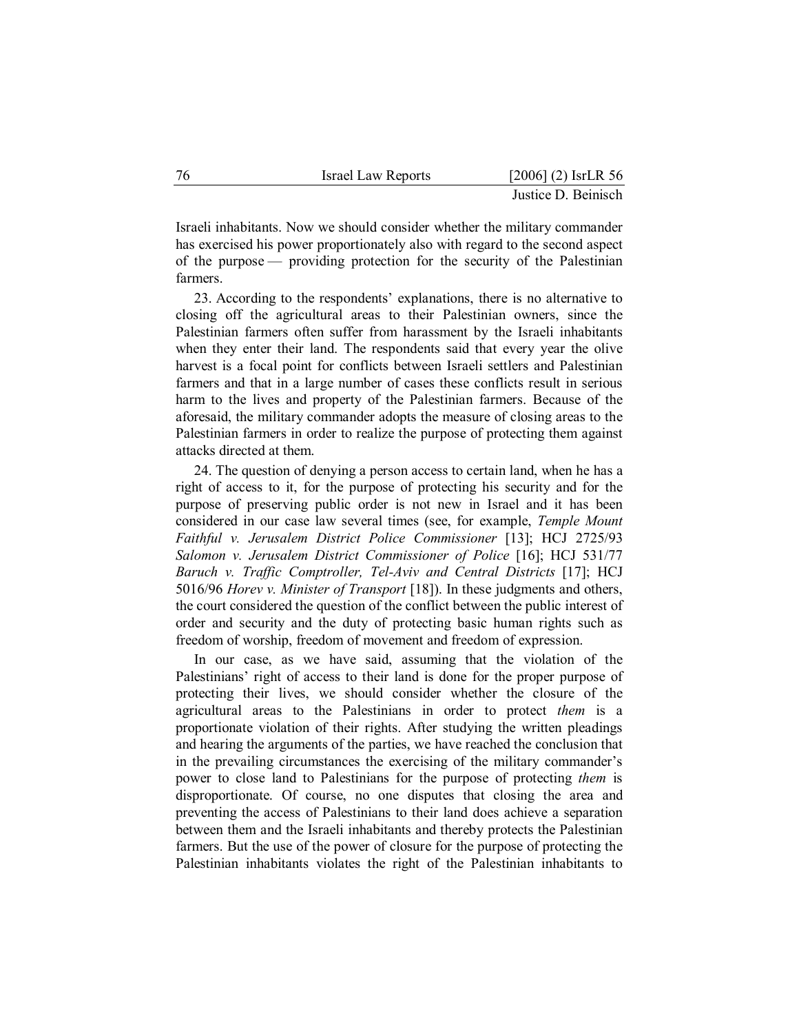| 76 | <b>Israel Law Reports</b> | $[2006]$ (2) IsrLR 56 |
|----|---------------------------|-----------------------|
|    |                           | Justice D. Beinisch   |

Israeli inhabitants. Now we should consider whether the military commander has exercised his power proportionately also with regard to the second aspect of the purpose — providing protection for the security of the Palestinian farmers.

23. According to the respondents' explanations, there is no alternative to closing off the agricultural areas to their Palestinian owners, since the Palestinian farmers often suffer from harassment by the Israeli inhabitants when they enter their land. The respondents said that every year the olive harvest is a focal point for conflicts between Israeli settlers and Palestinian farmers and that in a large number of cases these conflicts result in serious harm to the lives and property of the Palestinian farmers. Because of the aforesaid, the military commander adopts the measure of closing areas to the Palestinian farmers in order to realize the purpose of protecting them against attacks directed at them.

24. The question of denying a person access to certain land, when he has a right of access to it, for the purpose of protecting his security and for the purpose of preserving public order is not new in Israel and it has been considered in our case law several times (see, for example, *Temple Mount Faithful v. Jerusalem District Police Commissioner* [13]; HCJ 2725/93 *Salomon v. Jerusalem District Commissioner of Police* [16]; HCJ 531/77 *Baruch v. Traffic Comptroller, Tel-Aviv and Central Districts* [17]; HCJ 5016/96 *Horev v. Minister of Transport* [18]). In these judgments and others, the court considered the question of the conflict between the public interest of order and security and the duty of protecting basic human rights such as freedom of worship, freedom of movement and freedom of expression.

In our case, as we have said, assuming that the violation of the Palestinians' right of access to their land is done for the proper purpose of protecting their lives, we should consider whether the closure of the agricultural areas to the Palestinians in order to protect *them* is a proportionate violation of their rights. After studying the written pleadings and hearing the arguments of the parties, we have reached the conclusion that in the prevailing circumstances the exercising of the military commander's power to close land to Palestinians for the purpose of protecting *them* is disproportionate. Of course, no one disputes that closing the area and preventing the access of Palestinians to their land does achieve a separation between them and the Israeli inhabitants and thereby protects the Palestinian farmers. But the use of the power of closure for the purpose of protecting the Palestinian inhabitants violates the right of the Palestinian inhabitants to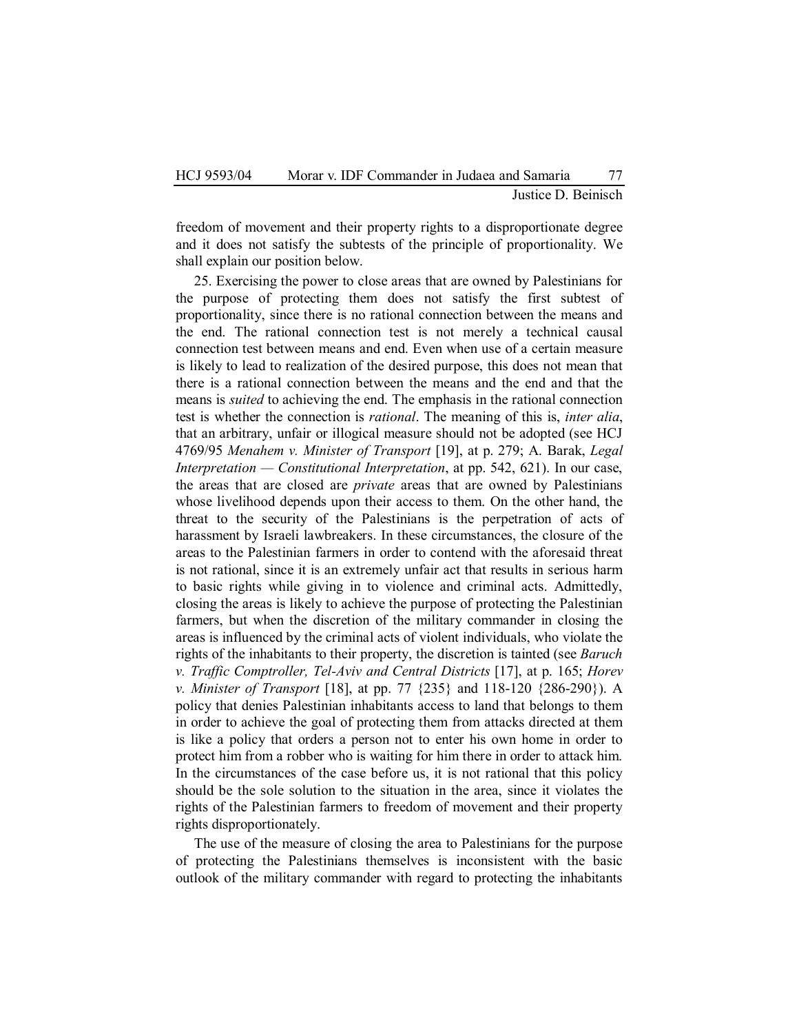Justice D. Beinisch

freedom of movement and their property rights to a disproportionate degree and it does not satisfy the subtests of the principle of proportionality. We shall explain our position below.

25. Exercising the power to close areas that are owned by Palestinians for the purpose of protecting them does not satisfy the first subtest of proportionality, since there is no rational connection between the means and the end. The rational connection test is not merely a technical causal connection test between means and end. Even when use of a certain measure is likely to lead to realization of the desired purpose, this does not mean that there is a rational connection between the means and the end and that the means is *suited* to achieving the end. The emphasis in the rational connection test is whether the connection is *rational*. The meaning of this is, *inter alia*, that an arbitrary, unfair or illogical measure should not be adopted (see HCJ 4769/95 *Menahem v. Minister of Transport* [19], at p. 279; A. Barak, *Legal Interpretation — Constitutional Interpretation*, at pp. 542, 621). In our case, the areas that are closed are *private* areas that are owned by Palestinians whose livelihood depends upon their access to them. On the other hand, the threat to the security of the Palestinians is the perpetration of acts of harassment by Israeli lawbreakers. In these circumstances, the closure of the areas to the Palestinian farmers in order to contend with the aforesaid threat is not rational, since it is an extremely unfair act that results in serious harm to basic rights while giving in to violence and criminal acts. Admittedly, closing the areas is likely to achieve the purpose of protecting the Palestinian farmers, but when the discretion of the military commander in closing the areas is influenced by the criminal acts of violent individuals, who violate the rights of the inhabitants to their property, the discretion is tainted (see *Baruch v. Traffic Comptroller, Tel-Aviv and Central Districts* [17], at p. 165; *Horev v. Minister of Transport* [18], at pp. 77 {235} and 118-120 {286-290}). A policy that denies Palestinian inhabitants access to land that belongs to them in order to achieve the goal of protecting them from attacks directed at them is like a policy that orders a person not to enter his own home in order to protect him from a robber who is waiting for him there in order to attack him. In the circumstances of the case before us, it is not rational that this policy should be the sole solution to the situation in the area, since it violates the rights of the Palestinian farmers to freedom of movement and their property rights disproportionately.

The use of the measure of closing the area to Palestinians for the purpose of protecting the Palestinians themselves is inconsistent with the basic outlook of the military commander with regard to protecting the inhabitants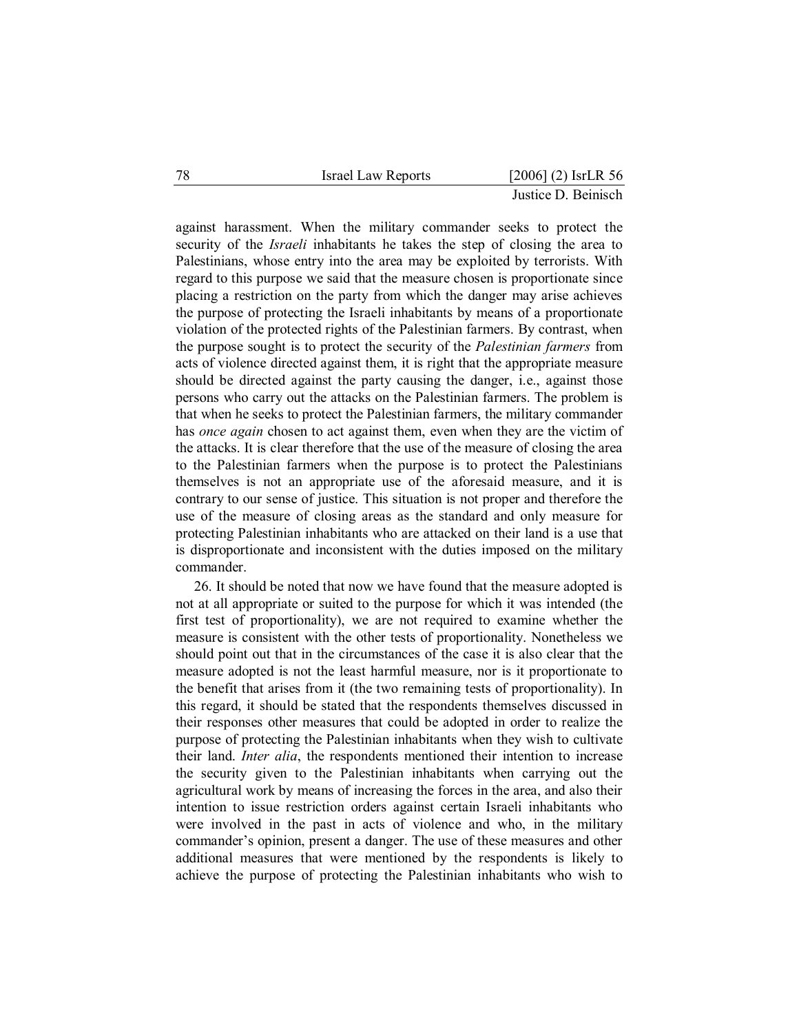| $[2006]$ (2) IsrLR 56<br>78<br>Israel Law Reports |
|---------------------------------------------------|
|---------------------------------------------------|

against harassment. When the military commander seeks to protect the security of the *Israeli* inhabitants he takes the step of closing the area to Palestinians, whose entry into the area may be exploited by terrorists. With regard to this purpose we said that the measure chosen is proportionate since placing a restriction on the party from which the danger may arise achieves the purpose of protecting the Israeli inhabitants by means of a proportionate violation of the protected rights of the Palestinian farmers. By contrast, when the purpose sought is to protect the security of the *Palestinian farmers* from acts of violence directed against them, it is right that the appropriate measure should be directed against the party causing the danger, i.e., against those persons who carry out the attacks on the Palestinian farmers. The problem is that when he seeks to protect the Palestinian farmers, the military commander has *once again* chosen to act against them, even when they are the victim of the attacks. It is clear therefore that the use of the measure of closing the area to the Palestinian farmers when the purpose is to protect the Palestinians themselves is not an appropriate use of the aforesaid measure, and it is contrary to our sense of justice. This situation is not proper and therefore the use of the measure of closing areas as the standard and only measure for protecting Palestinian inhabitants who are attacked on their land is a use that is disproportionate and inconsistent with the duties imposed on the military commander.

26. It should be noted that now we have found that the measure adopted is not at all appropriate or suited to the purpose for which it was intended (the first test of proportionality), we are not required to examine whether the measure is consistent with the other tests of proportionality. Nonetheless we should point out that in the circumstances of the case it is also clear that the measure adopted is not the least harmful measure, nor is it proportionate to the benefit that arises from it (the two remaining tests of proportionality). In this regard, it should be stated that the respondents themselves discussed in their responses other measures that could be adopted in order to realize the purpose of protecting the Palestinian inhabitants when they wish to cultivate their land. *Inter alia*, the respondents mentioned their intention to increase the security given to the Palestinian inhabitants when carrying out the agricultural work by means of increasing the forces in the area, and also their intention to issue restriction orders against certain Israeli inhabitants who were involved in the past in acts of violence and who, in the military commander's opinion, present a danger. The use of these measures and other additional measures that were mentioned by the respondents is likely to achieve the purpose of protecting the Palestinian inhabitants who wish to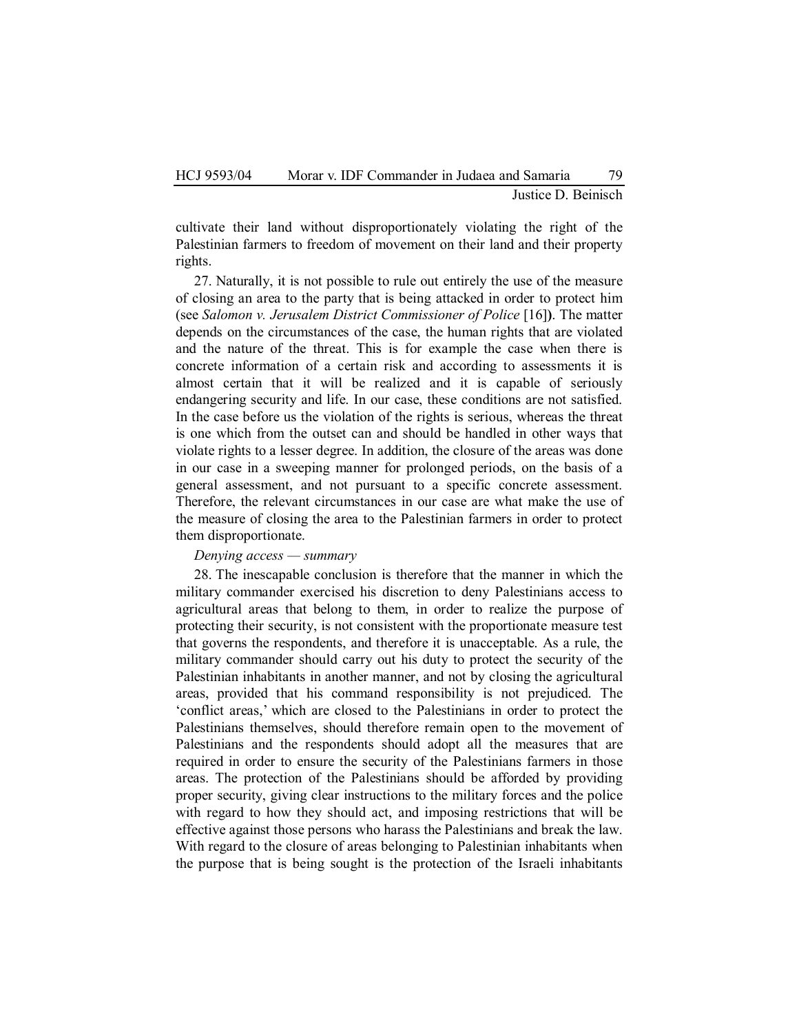### Justice D. Beinisch

cultivate their land without disproportionately violating the right of the Palestinian farmers to freedom of movement on their land and their property rights.

27. Naturally, it is not possible to rule out entirely the use of the measure of closing an area to the party that is being attacked in order to protect him (see *Salomon v. Jerusalem District Commissioner of Police* [16]**)**. The matter depends on the circumstances of the case, the human rights that are violated and the nature of the threat. This is for example the case when there is concrete information of a certain risk and according to assessments it is almost certain that it will be realized and it is capable of seriously endangering security and life. In our case, these conditions are not satisfied. In the case before us the violation of the rights is serious, whereas the threat is one which from the outset can and should be handled in other ways that violate rights to a lesser degree. In addition, the closure of the areas was done in our case in a sweeping manner for prolonged periods, on the basis of a general assessment, and not pursuant to a specific concrete assessment. Therefore, the relevant circumstances in our case are what make the use of the measure of closing the area to the Palestinian farmers in order to protect them disproportionate.

## *Denying access — summary*

28. The inescapable conclusion is therefore that the manner in which the military commander exercised his discretion to deny Palestinians access to agricultural areas that belong to them, in order to realize the purpose of protecting their security, is not consistent with the proportionate measure test that governs the respondents, and therefore it is unacceptable. As a rule, the military commander should carry out his duty to protect the security of the Palestinian inhabitants in another manner, and not by closing the agricultural areas, provided that his command responsibility is not prejudiced. The 'conflict areas,' which are closed to the Palestinians in order to protect the Palestinians themselves, should therefore remain open to the movement of Palestinians and the respondents should adopt all the measures that are required in order to ensure the security of the Palestinians farmers in those areas. The protection of the Palestinians should be afforded by providing proper security, giving clear instructions to the military forces and the police with regard to how they should act, and imposing restrictions that will be effective against those persons who harass the Palestinians and break the law. With regard to the closure of areas belonging to Palestinian inhabitants when the purpose that is being sought is the protection of the Israeli inhabitants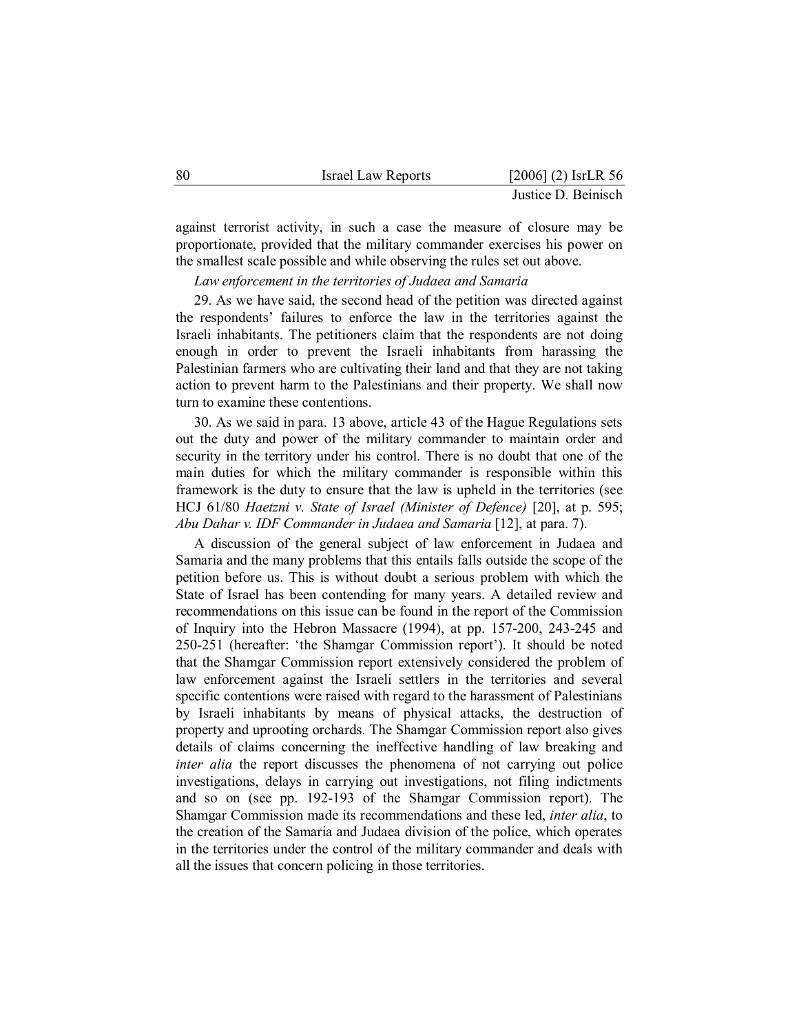| 80 | <b>Israel Law Reports</b> | $[2006]$ (2) IsrLR 56 |
|----|---------------------------|-----------------------|
|    |                           | Justice D. Beinisch   |

against terrorist activity, in such a case the measure of closure may be proportionate, provided that the military commander exercises his power on the smallest scale possible and while observing the rules set out above.

*Law enforcement in the territories of Judaea and Samaria* 

29. As we have said, the second head of the petition was directed against the respondents' failures to enforce the law in the territories against the Israeli inhabitants. The petitioners claim that the respondents are not doing enough in order to prevent the Israeli inhabitants from harassing the Palestinian farmers who are cultivating their land and that they are not taking action to prevent harm to the Palestinians and their property. We shall now turn to examine these contentions.

30. As we said in para. 13 above, article 43 of the Hague Regulations sets out the duty and power of the military commander to maintain order and security in the territory under his control. There is no doubt that one of the main duties for which the military commander is responsible within this framework is the duty to ensure that the law is upheld in the territories (see HCJ 61/80 *Haetzni v. State of Israel (Minister of Defence)* [20], at p. 595; *Abu Dahar v. IDF Commander in Judaea and Samaria* [12], at para. 7).

A discussion of the general subject of law enforcement in Judaea and Samaria and the many problems that this entails falls outside the scope of the petition before us. This is without doubt a serious problem with which the State of Israel has been contending for many years. A detailed review and recommendations on this issue can be found in the report of the Commission of Inquiry into the Hebron Massacre (1994), at pp. 157-200, 243-245 and 250-251 (hereafter: 'the Shamgar Commission report'). It should be noted that the Shamgar Commission report extensively considered the problem of law enforcement against the Israeli settlers in the territories and several specific contentions were raised with regard to the harassment of Palestinians by Israeli inhabitants by means of physical attacks, the destruction of property and uprooting orchards. The Shamgar Commission report also gives details of claims concerning the ineffective handling of law breaking and *inter alia* the report discusses the phenomena of not carrying out police investigations, delays in carrying out investigations, not filing indictments and so on (see pp. 192-193 of the Shamgar Commission report). The Shamgar Commission made its recommendations and these led, *inter alia*, to the creation of the Samaria and Judaea division of the police, which operates in the territories under the control of the military commander and deals with all the issues that concern policing in those territories.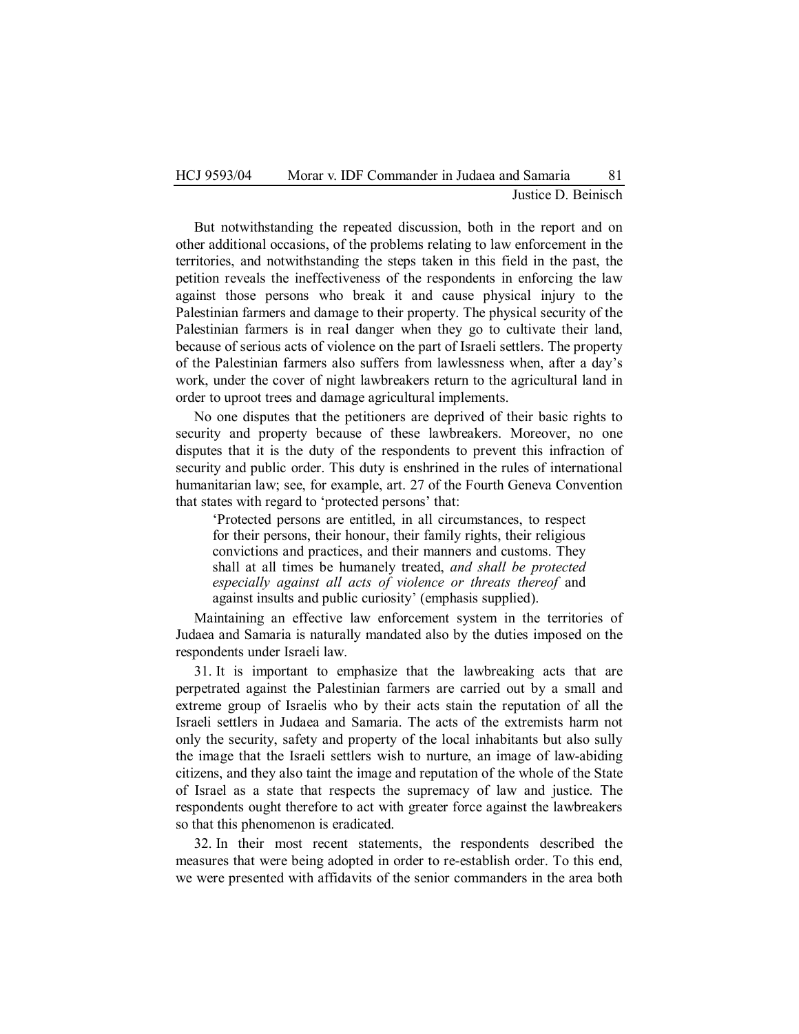But notwithstanding the repeated discussion, both in the report and on other additional occasions, of the problems relating to law enforcement in the territories, and notwithstanding the steps taken in this field in the past, the petition reveals the ineffectiveness of the respondents in enforcing the law against those persons who break it and cause physical injury to the Palestinian farmers and damage to their property. The physical security of the Palestinian farmers is in real danger when they go to cultivate their land, because of serious acts of violence on the part of Israeli settlers. The property of the Palestinian farmers also suffers from lawlessness when, after a day's work, under the cover of night lawbreakers return to the agricultural land in order to uproot trees and damage agricultural implements.

No one disputes that the petitioners are deprived of their basic rights to security and property because of these lawbreakers. Moreover, no one disputes that it is the duty of the respondents to prevent this infraction of security and public order. This duty is enshrined in the rules of international humanitarian law; see, for example, art. 27 of the Fourth Geneva Convention that states with regard to 'protected persons' that:

 'Protected persons are entitled, in all circumstances, to respect for their persons, their honour, their family rights, their religious convictions and practices, and their manners and customs. They shall at all times be humanely treated, *and shall be protected especially against all acts of violence or threats thereof* and against insults and public curiosity' (emphasis supplied).

Maintaining an effective law enforcement system in the territories of Judaea and Samaria is naturally mandated also by the duties imposed on the respondents under Israeli law.

31. It is important to emphasize that the lawbreaking acts that are perpetrated against the Palestinian farmers are carried out by a small and extreme group of Israelis who by their acts stain the reputation of all the Israeli settlers in Judaea and Samaria. The acts of the extremists harm not only the security, safety and property of the local inhabitants but also sully the image that the Israeli settlers wish to nurture, an image of law-abiding citizens, and they also taint the image and reputation of the whole of the State of Israel as a state that respects the supremacy of law and justice. The respondents ought therefore to act with greater force against the lawbreakers so that this phenomenon is eradicated.

32. In their most recent statements, the respondents described the measures that were being adopted in order to re-establish order. To this end, we were presented with affidavits of the senior commanders in the area both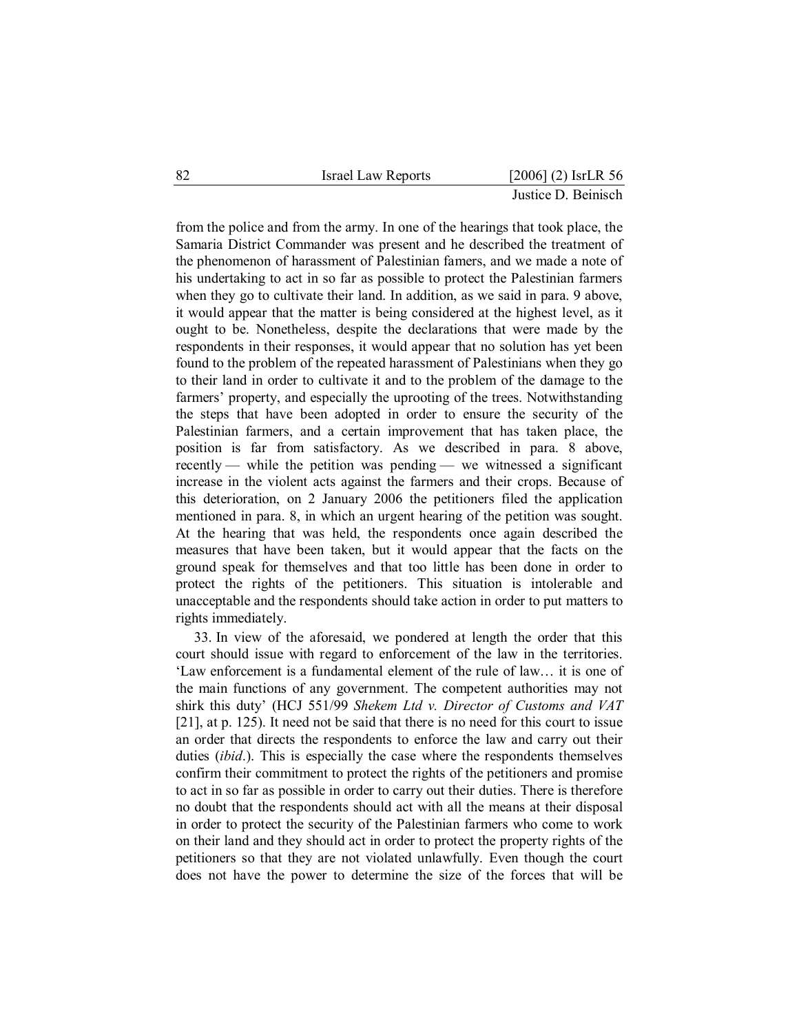from the police and from the army. In one of the hearings that took place, the Samaria District Commander was present and he described the treatment of the phenomenon of harassment of Palestinian famers, and we made a note of his undertaking to act in so far as possible to protect the Palestinian farmers when they go to cultivate their land. In addition, as we said in para. 9 above, it would appear that the matter is being considered at the highest level, as it ought to be. Nonetheless, despite the declarations that were made by the respondents in their responses, it would appear that no solution has yet been found to the problem of the repeated harassment of Palestinians when they go to their land in order to cultivate it and to the problem of the damage to the farmers' property, and especially the uprooting of the trees. Notwithstanding the steps that have been adopted in order to ensure the security of the Palestinian farmers, and a certain improvement that has taken place, the position is far from satisfactory. As we described in para. 8 above, recently — while the petition was pending — we witnessed a significant increase in the violent acts against the farmers and their crops. Because of this deterioration, on 2 January 2006 the petitioners filed the application mentioned in para. 8, in which an urgent hearing of the petition was sought. At the hearing that was held, the respondents once again described the measures that have been taken, but it would appear that the facts on the ground speak for themselves and that too little has been done in order to protect the rights of the petitioners. This situation is intolerable and unacceptable and the respondents should take action in order to put matters to rights immediately.

33. In view of the aforesaid, we pondered at length the order that this court should issue with regard to enforcement of the law in the territories. 'Law enforcement is a fundamental element of the rule of law… it is one of the main functions of any government. The competent authorities may not shirk this duty' (HCJ 551/99 *Shekem Ltd v. Director of Customs and VAT* [21], at p. 125). It need not be said that there is no need for this court to issue an order that directs the respondents to enforce the law and carry out their duties (*ibid*.). This is especially the case where the respondents themselves confirm their commitment to protect the rights of the petitioners and promise to act in so far as possible in order to carry out their duties. There is therefore no doubt that the respondents should act with all the means at their disposal in order to protect the security of the Palestinian farmers who come to work on their land and they should act in order to protect the property rights of the petitioners so that they are not violated unlawfully. Even though the court does not have the power to determine the size of the forces that will be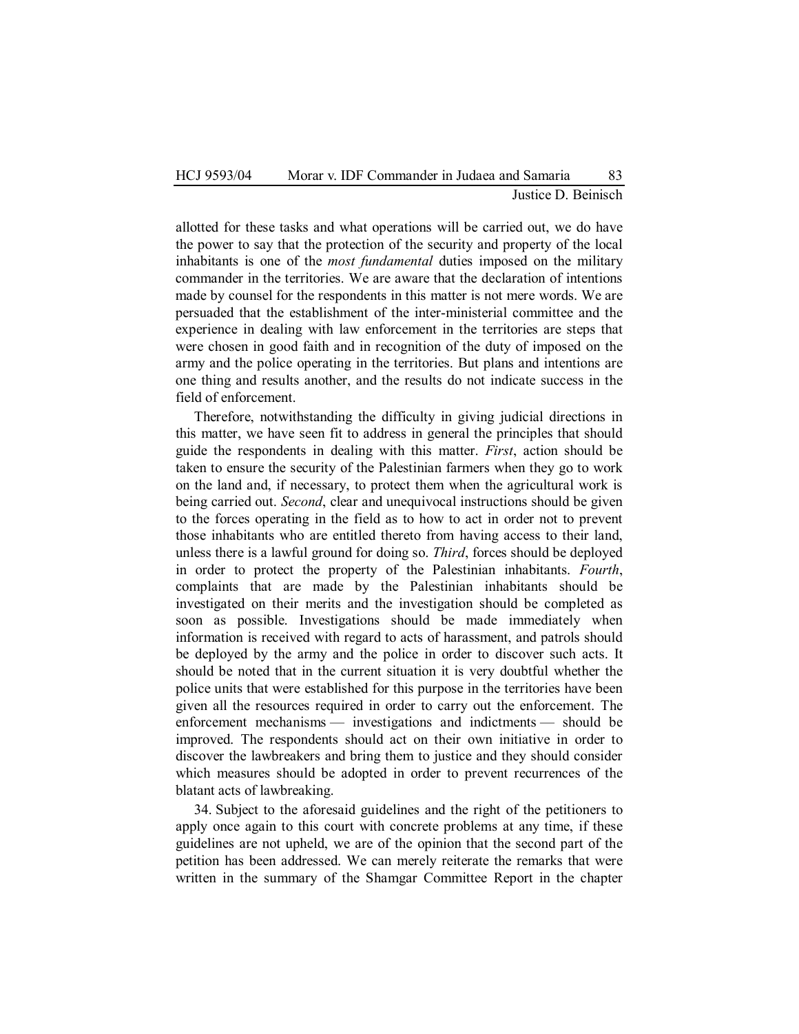# Justice D. Beinisch

allotted for these tasks and what operations will be carried out, we do have the power to say that the protection of the security and property of the local inhabitants is one of the *most fundamental* duties imposed on the military commander in the territories. We are aware that the declaration of intentions made by counsel for the respondents in this matter is not mere words. We are persuaded that the establishment of the inter-ministerial committee and the experience in dealing with law enforcement in the territories are steps that were chosen in good faith and in recognition of the duty of imposed on the army and the police operating in the territories. But plans and intentions are one thing and results another, and the results do not indicate success in the field of enforcement.

Therefore, notwithstanding the difficulty in giving judicial directions in this matter, we have seen fit to address in general the principles that should guide the respondents in dealing with this matter. *First*, action should be taken to ensure the security of the Palestinian farmers when they go to work on the land and, if necessary, to protect them when the agricultural work is being carried out. *Second*, clear and unequivocal instructions should be given to the forces operating in the field as to how to act in order not to prevent those inhabitants who are entitled thereto from having access to their land, unless there is a lawful ground for doing so. *Third*, forces should be deployed in order to protect the property of the Palestinian inhabitants. *Fourth*, complaints that are made by the Palestinian inhabitants should be investigated on their merits and the investigation should be completed as soon as possible. Investigations should be made immediately when information is received with regard to acts of harassment, and patrols should be deployed by the army and the police in order to discover such acts. It should be noted that in the current situation it is very doubtful whether the police units that were established for this purpose in the territories have been given all the resources required in order to carry out the enforcement. The enforcement mechanisms — investigations and indictments — should be improved. The respondents should act on their own initiative in order to discover the lawbreakers and bring them to justice and they should consider which measures should be adopted in order to prevent recurrences of the blatant acts of lawbreaking.

34. Subject to the aforesaid guidelines and the right of the petitioners to apply once again to this court with concrete problems at any time, if these guidelines are not upheld, we are of the opinion that the second part of the petition has been addressed. We can merely reiterate the remarks that were written in the summary of the Shamgar Committee Report in the chapter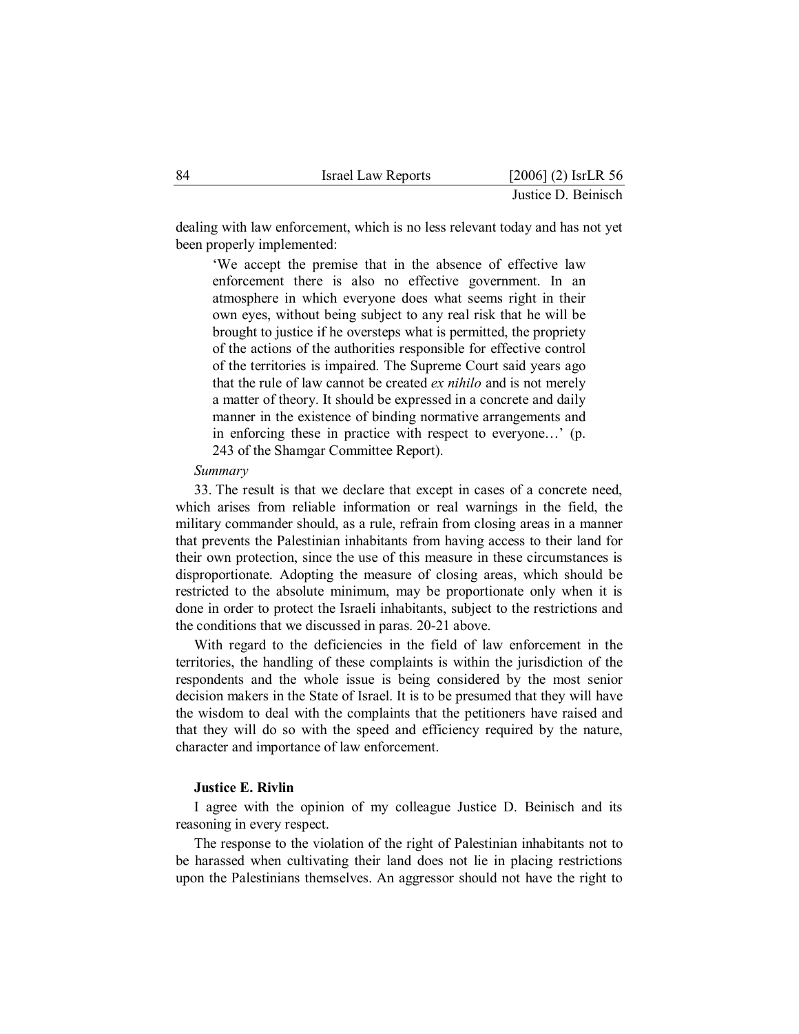dealing with law enforcement, which is no less relevant today and has not yet been properly implemented:

 'We accept the premise that in the absence of effective law enforcement there is also no effective government. In an atmosphere in which everyone does what seems right in their own eyes, without being subject to any real risk that he will be brought to justice if he oversteps what is permitted, the propriety of the actions of the authorities responsible for effective control of the territories is impaired. The Supreme Court said years ago that the rule of law cannot be created *ex nihilo* and is not merely a matter of theory. It should be expressed in a concrete and daily manner in the existence of binding normative arrangements and in enforcing these in practice with respect to everyone…' (p. 243 of the Shamgar Committee Report).

#### *Summary*

33. The result is that we declare that except in cases of a concrete need, which arises from reliable information or real warnings in the field, the military commander should, as a rule, refrain from closing areas in a manner that prevents the Palestinian inhabitants from having access to their land for their own protection, since the use of this measure in these circumstances is disproportionate. Adopting the measure of closing areas, which should be restricted to the absolute minimum, may be proportionate only when it is done in order to protect the Israeli inhabitants, subject to the restrictions and the conditions that we discussed in paras. 20-21 above.

With regard to the deficiencies in the field of law enforcement in the territories, the handling of these complaints is within the jurisdiction of the respondents and the whole issue is being considered by the most senior decision makers in the State of Israel. It is to be presumed that they will have the wisdom to deal with the complaints that the petitioners have raised and that they will do so with the speed and efficiency required by the nature, character and importance of law enforcement.

## **Justice E. Rivlin**

I agree with the opinion of my colleague Justice D. Beinisch and its reasoning in every respect.

The response to the violation of the right of Palestinian inhabitants not to be harassed when cultivating their land does not lie in placing restrictions upon the Palestinians themselves. An aggressor should not have the right to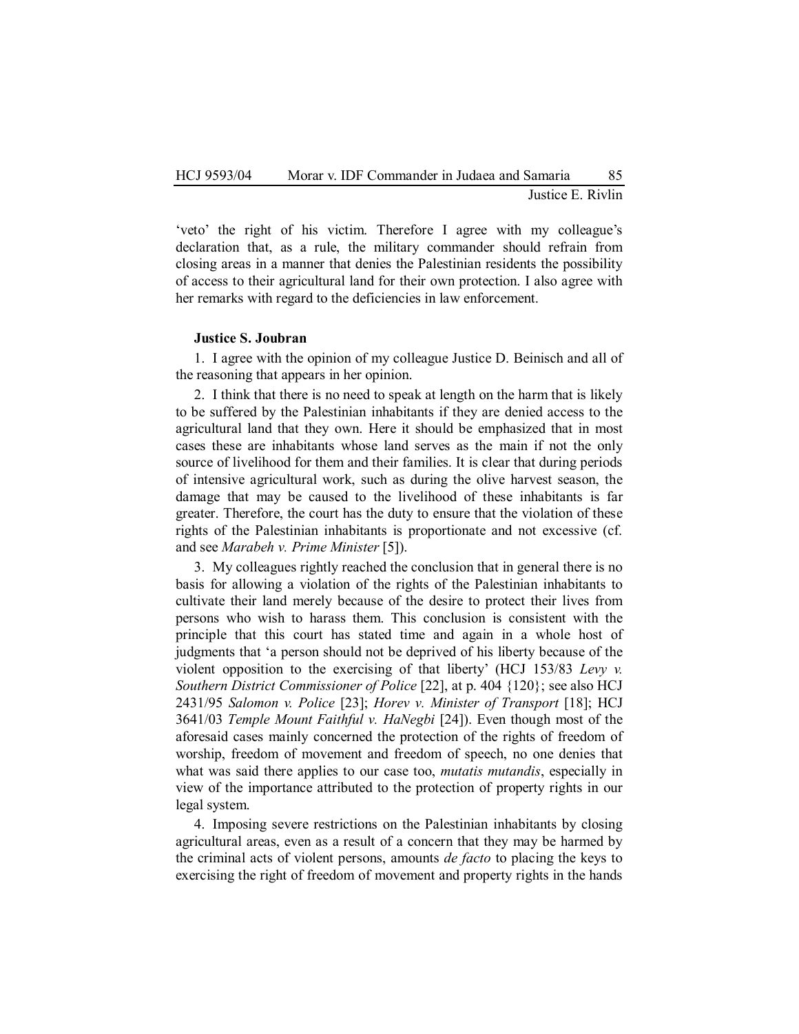Justice E. Rivlin

'veto' the right of his victim. Therefore I agree with my colleague's declaration that, as a rule, the military commander should refrain from closing areas in a manner that denies the Palestinian residents the possibility of access to their agricultural land for their own protection. I also agree with her remarks with regard to the deficiencies in law enforcement.

## **Justice S. Joubran**

1. I agree with the opinion of my colleague Justice D. Beinisch and all of the reasoning that appears in her opinion.

2. I think that there is no need to speak at length on the harm that is likely to be suffered by the Palestinian inhabitants if they are denied access to the agricultural land that they own. Here it should be emphasized that in most cases these are inhabitants whose land serves as the main if not the only source of livelihood for them and their families. It is clear that during periods of intensive agricultural work, such as during the olive harvest season, the damage that may be caused to the livelihood of these inhabitants is far greater. Therefore, the court has the duty to ensure that the violation of these rights of the Palestinian inhabitants is proportionate and not excessive (cf. and see *Marabeh v. Prime Minister* [5]).

3. My colleagues rightly reached the conclusion that in general there is no basis for allowing a violation of the rights of the Palestinian inhabitants to cultivate their land merely because of the desire to protect their lives from persons who wish to harass them. This conclusion is consistent with the principle that this court has stated time and again in a whole host of judgments that 'a person should not be deprived of his liberty because of the violent opposition to the exercising of that liberty' (HCJ 153/83 *Levy v. Southern District Commissioner of Police* [22], at p. 404 {120}; see also HCJ 2431/95 *Salomon v. Police* [23]; *Horev v. Minister of Transport* [18]; HCJ 3641/03 *Temple Mount Faithful v. HaNegbi* [24]). Even though most of the aforesaid cases mainly concerned the protection of the rights of freedom of worship, freedom of movement and freedom of speech, no one denies that what was said there applies to our case too, *mutatis mutandis*, especially in view of the importance attributed to the protection of property rights in our legal system.

4. Imposing severe restrictions on the Palestinian inhabitants by closing agricultural areas, even as a result of a concern that they may be harmed by the criminal acts of violent persons, amounts *de facto* to placing the keys to exercising the right of freedom of movement and property rights in the hands